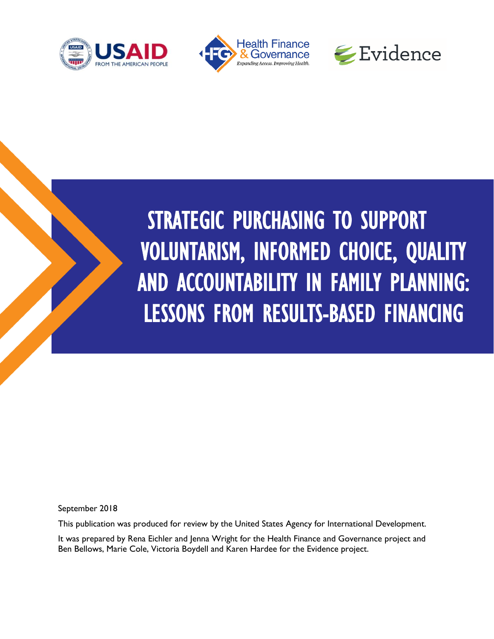





# STRATEGIC PURCHASING TO SUPPORT VOLUNTARISM, INFORMED CHOICE, QUALITY AND ACCOUNTABILITY IN FAMILY PLANNING: LESSONS FROM RESULTS-BASED FINANCING

September 2018

This publication was produced for review by the United States Agency for International Development.

It was prepared by Rena Eichler and Jenna Wright for the Health Finance and Governance project and Ben Bellows, Marie Cole, Victoria Boydell and Karen Hardee for the Evidence project.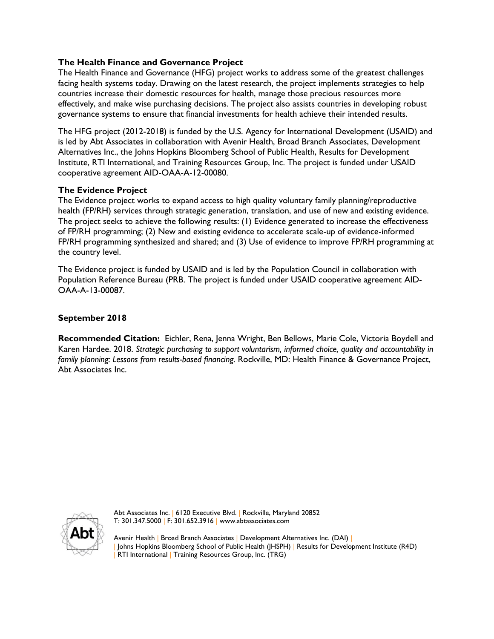#### **The Health Finance and Governance Project**

The Health Finance and Governance (HFG) project works to address some of the greatest challenges facing health systems today. Drawing on the latest research, the project implements strategies to help countries increase their domestic resources for health, manage those precious resources more effectively, and make wise purchasing decisions. The project also assists countries in developing robust governance systems to ensure that financial investments for health achieve their intended results.

The HFG project (2012-2018) is funded by the U.S. Agency for International Development (USAID) and is led by Abt Associates in collaboration with Avenir Health, Broad Branch Associates, Development Alternatives Inc., the Johns Hopkins Bloomberg School of Public Health, Results for Development Institute, RTI International, and Training Resources Group, Inc. The project is funded under USAID cooperative agreement AID-OAA-A-12-00080.

#### **The Evidence Project**

The Evidence project works to expand access to high quality voluntary family planning/reproductive health (FP/RH) services through strategic generation, translation, and use of new and existing evidence. The project seeks to achieve the following results: (1) Evidence generated to increase the effectiveness of FP/RH programming; (2) New and existing evidence to accelerate scale-up of evidence-informed FP/RH programming synthesized and shared; and (3) Use of evidence to improve FP/RH programming at the country level.

The Evidence project is funded by USAID and is led by the Population Council in collaboration with Population Reference Bureau (PRB. The project is funded under USAID cooperative agreement AID-OAA-A-13-00087.

#### **September 2018**

**Recommended Citation:** Eichler, Rena, Jenna Wright, Ben Bellows, Marie Cole, Victoria Boydell and Karen Hardee. 2018. *Strategic purchasing to support voluntarism, informed choice, quality and accountability in family planning: Lessons from results-based financing.* Rockville, MD: Health Finance & Governance Project, Abt Associates Inc.



Abt Associates Inc. | 6120 Executive Blvd. | Rockville, Maryland 20852 T: 301.347.5000 | F: 301.652.3916 | www.abtassociates.com

Avenir Health | Broad Branch Associates | Development Alternatives Inc. (DAI) | | Johns Hopkins Bloomberg School of Public Health (JHSPH) | Results for Development Institute (R4D) RTI International | Training Resources Group, Inc. (TRG)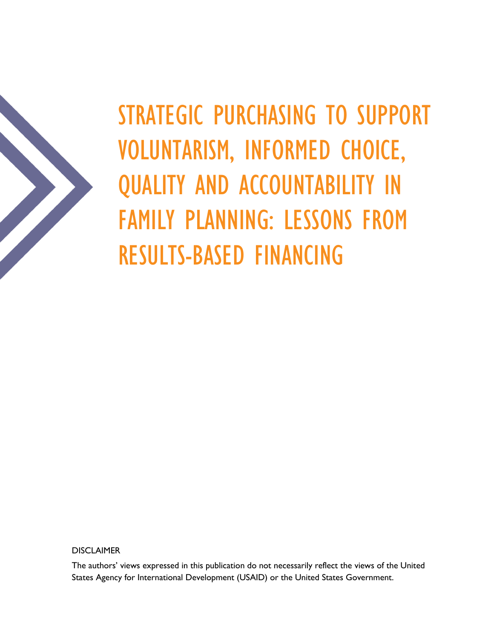

STRATEGIC PURCHASING TO SUPPORT VOLUNTARISM, INFORMED CHOICE, QUALITY AND ACCOUNTABILITY IN FAMILY PLANNING: LESSONS FROM RESULTS-BASED FINANCING

**DISCLAIMER** 

The authors' views expressed in this publication do not necessarily reflect the views of the United States Agency for International Development (USAID) or the United States Government.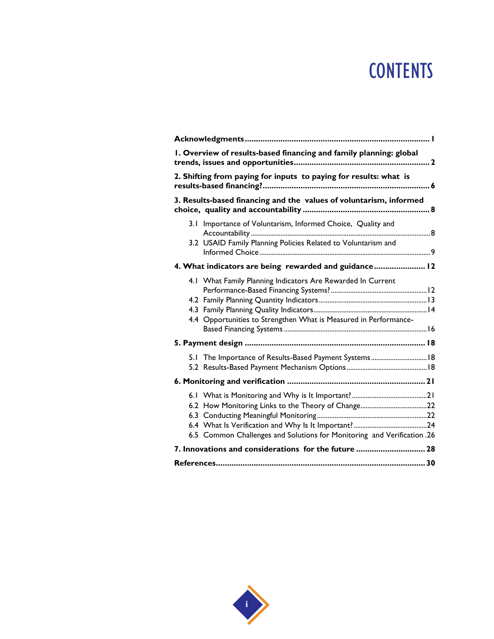## **CONTENTS**

| I. Overview of results-based financing and family planning: global                                                              |  |  |
|---------------------------------------------------------------------------------------------------------------------------------|--|--|
| 2. Shifting from paying for inputs to paying for results: what is                                                               |  |  |
| 3. Results-based financing and the values of voluntarism, informed                                                              |  |  |
| 3.1 Importance of Voluntarism, Informed Choice, Quality and<br>3.2 USAID Family Planning Policies Related to Voluntarism and    |  |  |
| 4. What indicators are being rewarded and guidance 12                                                                           |  |  |
| 4.1 What Family Planning Indicators Are Rewarded In Current<br>4.4 Opportunities to Strengthen What is Measured in Performance- |  |  |
|                                                                                                                                 |  |  |
| 5.1 The Importance of Results-Based Payment Systems 18                                                                          |  |  |
|                                                                                                                                 |  |  |
| 6.5 Common Challenges and Solutions for Monitoring and Verification .26                                                         |  |  |
| 7. Innovations and considerations for the future  28                                                                            |  |  |
|                                                                                                                                 |  |  |

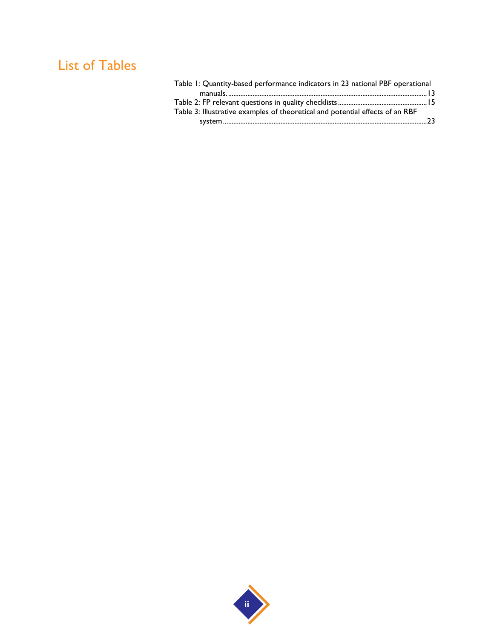## List of Tables

| Table 1: Quantity-based performance indicators in 23 national PBF operational |  |
|-------------------------------------------------------------------------------|--|
|                                                                               |  |
|                                                                               |  |
| Table 3: Illustrative examples of theoretical and potential effects of an RBF |  |
|                                                                               |  |
|                                                                               |  |

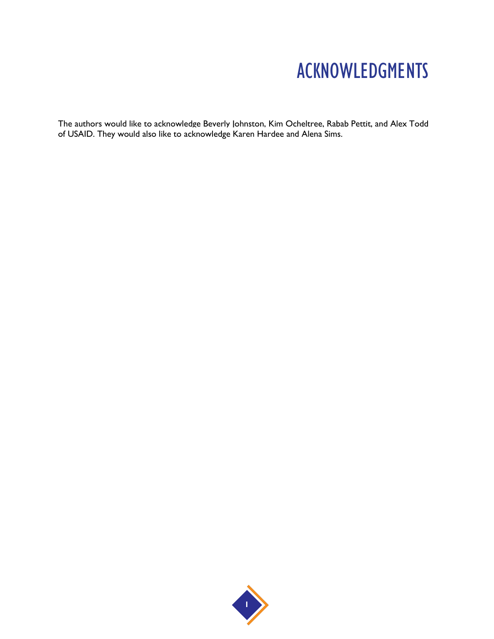## ACKNOWLEDGMENTS

The authors would like to acknowledge Beverly Johnston, Kim Ocheltree, Rabab Pettit, and Alex Todd of USAID. They would also like to acknowledge Karen Hardee and Alena Sims.

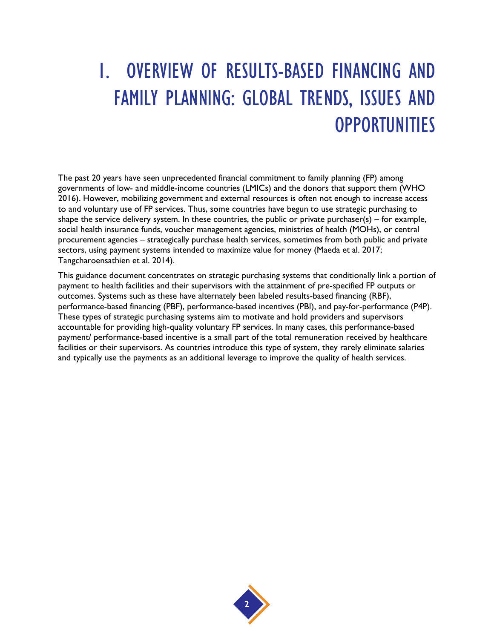# 1. OVERVIEW OF RESULTS-BASED FINANCING AND FAMILY PLANNING: GLOBAL TRENDS, ISSUES AND **OPPORTUNITIES**

The past 20 years have seen unprecedented financial commitment to family planning (FP) among governments of low- and middle-income countries (LMICs) and the donors that support them (WHO 2016). However, mobilizing government and external resources is often not enough to increase access to and voluntary use of FP services. Thus, some countries have begun to use strategic purchasing to shape the service delivery system. In these countries, the public or private purchaser( $s$ ) – for example, social health insurance funds, voucher management agencies, ministries of health (MOHs), or central procurement agencies – strategically purchase health services, sometimes from both public and private sectors, using payment systems intended to maximize value for money (Maeda et al. 2017; Tangcharoensathien et al. 2014).

This guidance document concentrates on strategic purchasing systems that conditionally link a portion of payment to health facilities and their supervisors with the attainment of pre-specified FP outputs or outcomes. Systems such as these have alternately been labeled results-based financing (RBF), performance-based financing (PBF), performance-based incentives (PBI), and pay-for-performance (P4P). These types of strategic purchasing systems aim to motivate and hold providers and supervisors accountable for providing high-quality voluntary FP services. In many cases, this performance-based payment/ performance-based incentive is a small part of the total remuneration received by healthcare facilities or their supervisors. As countries introduce this type of system, they rarely eliminate salaries and typically use the payments as an additional leverage to improve the quality of health services.

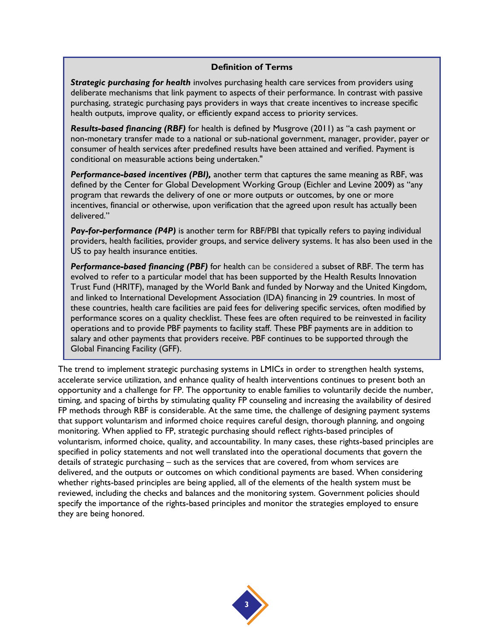#### **Definition of Terms**

*Strategic purchasing for health* involves purchasing health care services from providers using deliberate mechanisms that link payment to aspects of their performance. In contrast with passive purchasing, strategic purchasing pays providers in ways that create incentives to increase specific health outputs, improve quality, or efficiently expand access to priority services.

*Results-based financing (RBF)* for health is defined by Musgrove (2011) as "a cash payment or non-monetary transfer made to a national or sub-national government, manager, provider, payer or consumer of health services after predefined results have been attained and verified. Payment is conditional on measurable actions being undertaken."

*Performance-based incentives (PBI),* another term that captures the same meaning as RBF, was defined by the Center for Global Development Working Group (Eichler and Levine 2009) as "any program that rewards the delivery of one or more outputs or outcomes, by one or more incentives, financial or otherwise, upon verification that the agreed upon result has actually been delivered."

**Pay-for-performance (P4P)** is another term for RBF/PBI that typically refers to paying individual providers, health facilities, provider groups, and service delivery systems. It has also been used in the US to pay health insurance entities.

*Performance-based financing (PBF)* for health can be considered a subset of RBF. The term has evolved to refer to a particular model that has been supported by the Health Results Innovation Trust Fund (HRITF), managed by the World Bank and funded by Norway and the United Kingdom, and linked to International Development Association (IDA) financing in 29 countries. In most of these countries, health care facilities are paid fees for delivering specific services, often modified by performance scores on a quality checklist. These fees are often required to be reinvested in facility operations and to provide PBF payments to facility staff. These PBF payments are in addition to salary and other payments that providers receive. PBF continues to be supported through the Global Financing Facility (GFF).

The trend to implement strategic purchasing systems in LMICs in order to strengthen health systems, accelerate service utilization, and enhance quality of health interventions continues to present both an opportunity and a challenge for FP. The opportunity to enable families to voluntarily decide the number, timing, and spacing of births by stimulating quality FP counseling and increasing the availability of desired FP methods through RBF is considerable. At the same time, the challenge of designing payment systems that support voluntarism and informed choice requires careful design, thorough planning, and ongoing monitoring. When applied to FP, strategic purchasing should reflect rights-based principles of voluntarism, informed choice, quality, and accountability. In many cases, these rights-based principles are specified in policy statements and not well translated into the operational documents that govern the details of strategic purchasing – such as the services that are covered, from whom services are delivered, and the outputs or outcomes on which conditional payments are based. When considering whether rights-based principles are being applied, all of the elements of the health system must be reviewed, including the checks and balances and the monitoring system. Government policies should specify the importance of the rights-based principles and monitor the strategies employed to ensure they are being honored.

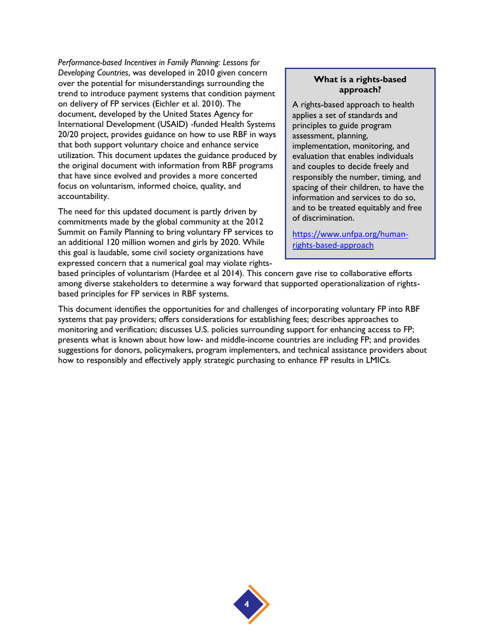*Performance-based Incentives in Family Planning: Lessons for Developing Countries*, was developed in 2010 given concern over the potential for misunderstandings surrounding the trend to introduce payment systems that condition payment on delivery of FP services (Eichler et al. 2010). The document, developed by the United States Agency for International Development (USAID) -funded Health Systems 20/20 project, provides guidance on how to use RBF in ways that both support voluntary choice and enhance service utilization. This document updates the guidance produced by the original document with information from RBF programs that have since evolved and provides a more concerted focus on voluntarism, informed choice, quality, and accountability.

The need for this updated document is partly driven by commitments made by the global community at the 2012 Summit on Family Planning to bring voluntary FP services to an additional 120 million women and girls by 2020. While this goal is laudable, some civil society organizations have expressed concern that a numerical goal may violate rights-

#### **What is a rights-based approach?**

A rights-based approach to health applies a set of standards and principles to guide program assessment, planning, implementation, monitoring, and evaluation that enables individuals and couples to decide freely and responsibly the number, timing, and spacing of their children, to have the information and services to do so, and to be treated equitably and free of discrimination.

[https://www.unfpa.org/human](https://www.unfpa.org/human-rights-based-approach)[rights-based-approach](https://www.unfpa.org/human-rights-based-approach)

based principles of voluntarism (Hardee et al 2014). This concern gave rise to collaborative efforts among diverse stakeholders to determine a way forward that supported operationalization of rightsbased principles for FP services in RBF systems.

This document identifies the opportunities for and challenges of incorporating voluntary FP into RBF systems that pay providers; offers considerations for establishing fees; describes approaches to monitoring and verification; discusses U.S. policies surrounding support for enhancing access to FP; presents what is known about how low- and middle-income countries are including FP; and provides suggestions for donors, policymakers, program implementers, and technical assistance providers about how to responsibly and effectively apply strategic purchasing to enhance FP results in LMICs.

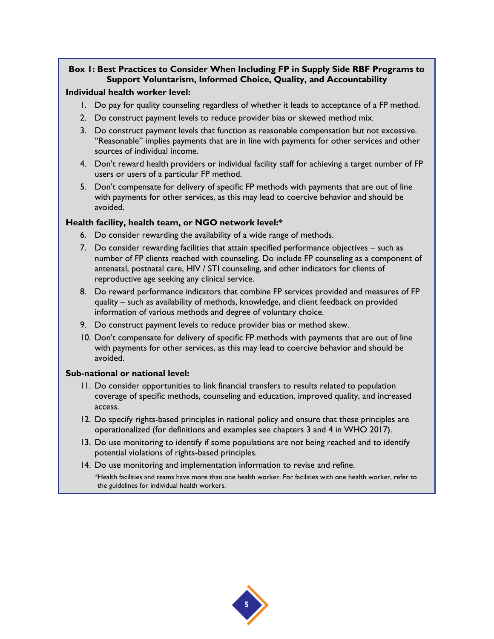#### **Box 1: Best Practices to Consider When Including FP in Supply Side RBF Programs to Support Voluntarism, Informed Choice, Quality, and Accountability**

#### **Individual health worker level:**

- 1. Do pay for quality counseling regardless of whether it leads to acceptance of a FP method.
- 2. Do construct payment levels to reduce provider bias or skewed method mix.
- 3. Do construct payment levels that function as reasonable compensation but not excessive. "Reasonable" implies payments that are in line with payments for other services and other sources of individual income.
- 4. Don't reward health providers or individual facility staff for achieving a target number of FP users or users of a particular FP method.
- 5. Don't compensate for delivery of specific FP methods with payments that are out of line with payments for other services, as this may lead to coercive behavior and should be avoided.

#### **Health facility, health team, or NGO network level:\***

- 6. Do consider rewarding the availability of a wide range of methods.
- 7. Do consider rewarding facilities that attain specified performance objectives such as number of FP clients reached with counseling. Do include FP counseling as a component of antenatal, postnatal care, HIV / STI counseling, and other indicators for clients of reproductive age seeking any clinical service.
- 8. Do reward performance indicators that combine FP services provided and measures of FP quality – such as availability of methods, knowledge, and client feedback on provided information of various methods and degree of voluntary choice.
- 9. Do construct payment levels to reduce provider bias or method skew.
- 10. Don't compensate for delivery of specific FP methods with payments that are out of line with payments for other services, as this may lead to coercive behavior and should be avoided.

#### **Sub-national or national level:**

- 11. Do consider opportunities to link financial transfers to results related to population coverage of specific methods, counseling and education, improved quality, and increased access.
- 12. Do specify rights-based principles in national policy and ensure that these principles are operationalized (for definitions and examples see chapters 3 and 4 in WHO 2017).
- 13. Do use monitoring to identify if some populations are not being reached and to identify potential violations of rights-based principles.
- 14. Do use monitoring and implementation information to revise and refine. \*Health facilities and teams have more than one health worker. For facilities with one health worker, refer to the guidelines for individual health workers.

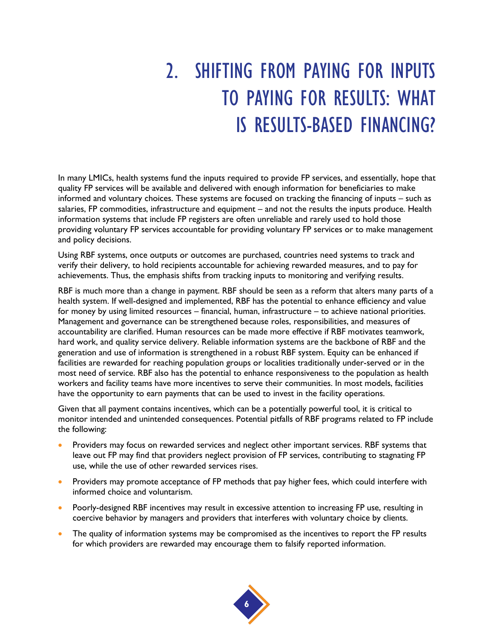# 2. SHIFTING FROM PAYING FOR INPUTS TO PAYING FOR RESULTS: WHAT IS RESULTS-BASED FINANCING?

In many LMICs, health systems fund the inputs required to provide FP services, and essentially, hope that quality FP services will be available and delivered with enough information for beneficiaries to make informed and voluntary choices. These systems are focused on tracking the financing of inputs – such as salaries, FP commodities, infrastructure and equipment – and not the results the inputs produce. Health information systems that include FP registers are often unreliable and rarely used to hold those providing voluntary FP services accountable for providing voluntary FP services or to make management and policy decisions.

Using RBF systems, once outputs or outcomes are purchased, countries need systems to track and verify their delivery, to hold recipients accountable for achieving rewarded measures, and to pay for achievements. Thus, the emphasis shifts from tracking inputs to monitoring and verifying results.

RBF is much more than a change in payment. RBF should be seen as a reform that alters many parts of a health system. If well-designed and implemented, RBF has the potential to enhance efficiency and value for money by using limited resources – financial, human, infrastructure – to achieve national priorities. Management and governance can be strengthened because roles, responsibilities, and measures of accountability are clarified. Human resources can be made more effective if RBF motivates teamwork, hard work, and quality service delivery. Reliable information systems are the backbone of RBF and the generation and use of information is strengthened in a robust RBF system. Equity can be enhanced if facilities are rewarded for reaching population groups or localities traditionally under-served or in the most need of service. RBF also has the potential to enhance responsiveness to the population as health workers and facility teams have more incentives to serve their communities. In most models, facilities have the opportunity to earn payments that can be used to invest in the facility operations.

Given that all payment contains incentives, which can be a potentially powerful tool, it is critical to monitor intended and unintended consequences. Potential pitfalls of RBF programs related to FP include the following:

- Providers may focus on rewarded services and neglect other important services. RBF systems that leave out FP may find that providers neglect provision of FP services, contributing to stagnating FP use, while the use of other rewarded services rises.
- Providers may promote acceptance of FP methods that pay higher fees, which could interfere with informed choice and voluntarism.
- Poorly-designed RBF incentives may result in excessive attention to increasing FP use, resulting in coercive behavior by managers and providers that interferes with voluntary choice by clients.
- The quality of information systems may be compromised as the incentives to report the FP results for which providers are rewarded may encourage them to falsify reported information.

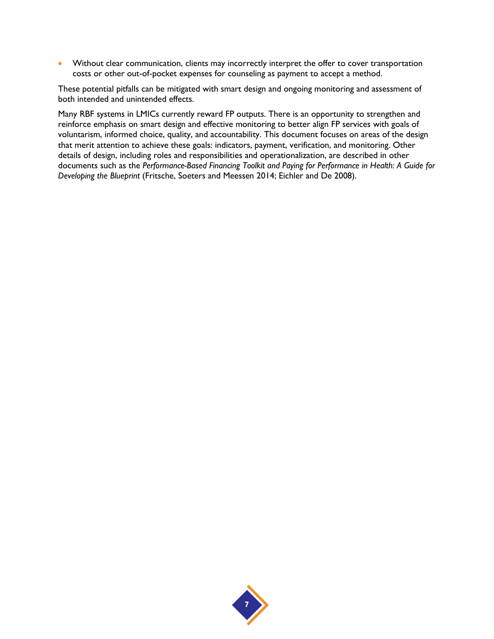• Without clear communication, clients may incorrectly interpret the offer to cover transportation costs or other out-of-pocket expenses for counseling as payment to accept a method.

These potential pitfalls can be mitigated with smart design and ongoing monitoring and assessment of both intended and unintended effects.

Many RBF systems in LMICs currently reward FP outputs. There is an opportunity to strengthen and reinforce emphasis on smart design and effective monitoring to better align FP services with goals of voluntarism, informed choice, quality, and accountability. This document focuses on areas of the design that merit attention to achieve these goals: indicators, payment, verification, and monitoring. Other details of design, including roles and responsibilities and operationalization, are described in other documents such as the *Performance-Based Financing Toolkit and Paying for Performance in Health: A Guide for Developing the Blueprint* (Fritsche, Soeters and Meessen 2014; Eichler and De 2008).

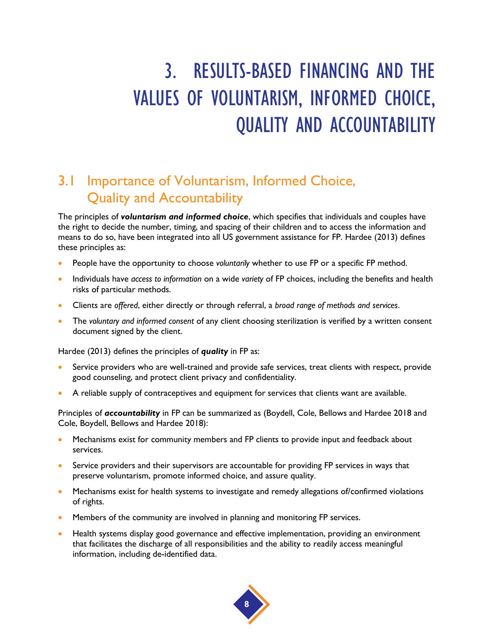# 3. RESULTS-BASED FINANCING AND THE VALUES OF VOLUNTARISM, INFORMED CHOICE, QUALITY AND ACCOUNTABILITY

### 3.1 Importance of Voluntarism, Informed Choice, Quality and Accountability

The principles of *voluntarism and informed choice*, which specifies that individuals and couples have the right to decide the number, timing, and spacing of their children and to access the information and means to do so, have been integrated into all US government assistance for FP. Hardee (2013) defines these principles as:

- People have the opportunity to choose *voluntarily* whether to use FP or a specific FP method.
- Individuals have *access to information* on a wide *variety* of FP choices, including the benefits and health risks of particular methods.
- Clients are *offered*, either directly or through referral, a *broad range of methods and services*.
- The *voluntary and informed consent* of any client choosing sterilization is verified by a written consent document signed by the client.

Hardee (2013) defines the principles of *quality* in FP as:

- Service providers who are well-trained and provide safe services, treat clients with respect, provide good counseling, and protect client privacy and confidentiality.
- A reliable supply of contraceptives and equipment for services that clients want are available.

Principles of *accountability* in FP can be summarized as (Boydell, Cole, Bellows and Hardee 2018 and Cole, Boydell, Bellows and Hardee 2018):

- Mechanisms exist for community members and FP clients to provide input and feedback about services.
- Service providers and their supervisors are accountable for providing FP services in ways that preserve voluntarism, promote informed choice, and assure quality.
- Mechanisms exist for health systems to investigate and remedy allegations of/confirmed violations of rights.
- Members of the community are involved in planning and monitoring FP services.
- Health systems display good governance and effective implementation, providing an environment that facilitates the discharge of all responsibilities and the ability to readily access meaningful information, including de-identified data.

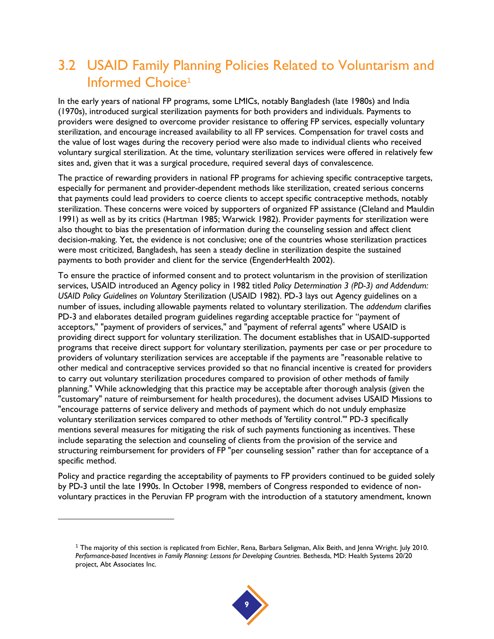## 3.2 USAID Family Planning Policies Related to Voluntarism and Informed Choice<sup>1</sup>

In the early years of national FP programs, some LMICs, notably Bangladesh (late 1980s) and India (1970s), introduced surgical sterilization payments for both providers and individuals. Payments to providers were designed to overcome provider resistance to offering FP services, especially voluntary sterilization, and encourage increased availability to all FP services. Compensation for travel costs and the value of lost wages during the recovery period were also made to individual clients who received voluntary surgical sterilization. At the time, voluntary sterilization services were offered in relatively few sites and, given that it was a surgical procedure, required several days of convalescence.

The practice of rewarding providers in national FP programs for achieving specific contraceptive targets, especially for permanent and provider-dependent methods like sterilization, created serious concerns that payments could lead providers to coerce clients to accept specific contraceptive methods, notably sterilization. These concerns were voiced by supporters of organized FP assistance (Cleland and Mauldin 1991) as well as by its critics (Hartman 1985; Warwick 1982). Provider payments for sterilization were also thought to bias the presentation of information during the counseling session and affect client decision-making. Yet, the evidence is not conclusive; one of the countries whose sterilization practices were most criticized, Bangladesh, has seen a steady decline in sterilization despite the sustained payments to both provider and client for the service (EngenderHealth 2002).

To ensure the practice of informed consent and to protect voluntarism in the provision of sterilization services, USAID introduced an Agency policy in 1982 titled *Policy Determination 3 (PD-3) and Addendum: USAID Policy Guidelines on Voluntary* Sterilization (USAID 1982). PD-3 lays out Agency guidelines on a number of issues, including allowable payments related to voluntary sterilization. The *addendum* clarifies PD-3 and elaborates detailed program guidelines regarding acceptable practice for "payment of acceptors," "payment of providers of services," and "payment of referral agents" where USAID is providing direct support for voluntary sterilization. The document establishes that in USAID-supported programs that receive direct support for voluntary sterilization, payments per case or per procedure to providers of voluntary sterilization services are acceptable if the payments are "reasonable relative to other medical and contraceptive services provided so that no financial incentive is created for providers to carry out voluntary sterilization procedures compared to provision of other methods of family planning." While acknowledging that this practice may be acceptable after thorough analysis (given the "customary" nature of reimbursement for health procedures), the document advises USAID Missions to "encourage patterns of service delivery and methods of payment which do not unduly emphasize voluntary sterilization services compared to other methods of 'fertility control.'" PD-3 specifically mentions several measures for mitigating the risk of such payments functioning as incentives. These include separating the selection and counseling of clients from the provision of the service and structuring reimbursement for providers of FP "per counseling session" rather than for acceptance of a specific method.

Policy and practice regarding the acceptability of payments to FP providers continued to be guided solely by PD-3 until the late 1990s. In October 1998, members of Congress responded to evidence of nonvoluntary practices in the Peruvian FP program with the introduction of a statutory amendment, known

 $\overline{a}$ 

<sup>1</sup> The majority of this section is replicated from Eichler, Rena, Barbara Seligman, Alix Beith, and Jenna Wright. July 2010. Performance-based Incentives in Family Planning: Lessons for Developing Countries. Bethesda, MD: Health Systems 20/20 project, Abt Associates Inc.

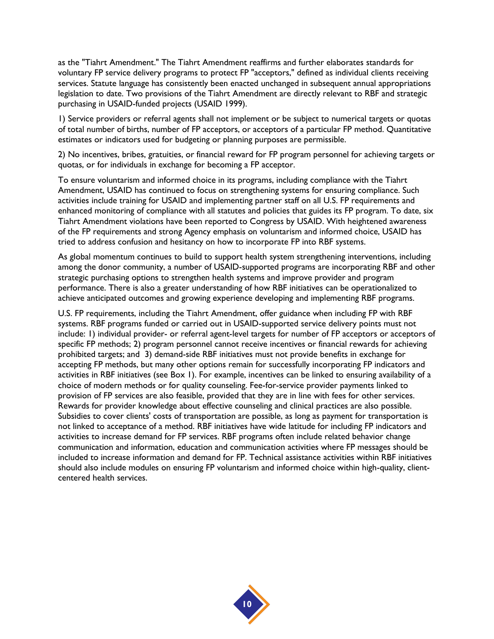as the "Tiahrt Amendment." The Tiahrt Amendment reaffirms and further elaborates standards for voluntary FP service delivery programs to protect FP "acceptors," defined as individual clients receiving services. Statute language has consistently been enacted unchanged in subsequent annual appropriations legislation to date. Two provisions of the Tiahrt Amendment are directly relevant to RBF and strategic purchasing in USAID-funded projects (USAID 1999).

1) Service providers or referral agents shall not implement or be subject to numerical targets or quotas of total number of births, number of FP acceptors, or acceptors of a particular FP method. Quantitative estimates or indicators used for budgeting or planning purposes are permissible.

2) No incentives, bribes, gratuities, or financial reward for FP program personnel for achieving targets or quotas, or for individuals in exchange for becoming a FP acceptor.

To ensure voluntarism and informed choice in its programs, including compliance with the Tiahrt Amendment, USAID has continued to focus on strengthening systems for ensuring compliance. Such activities include training for USAID and implementing partner staff on all U.S. FP requirements and enhanced monitoring of compliance with all statutes and policies that guides its FP program. To date, six Tiahrt Amendment violations have been reported to Congress by USAID. With heightened awareness of the FP requirements and strong Agency emphasis on voluntarism and informed choice, USAID has tried to address confusion and hesitancy on how to incorporate FP into RBF systems.

As global momentum continues to build to support health system strengthening interventions, including among the donor community, a number of USAID-supported programs are incorporating RBF and other strategic purchasing options to strengthen health systems and improve provider and program performance. There is also a greater understanding of how RBF initiatives can be operationalized to achieve anticipated outcomes and growing experience developing and implementing RBF programs.

U.S. FP requirements, including the Tiahrt Amendment, offer guidance when including FP with RBF systems. RBF programs funded or carried out in USAID-supported service delivery points must not include: 1) individual provider- or referral agent-level targets for number of FP acceptors or acceptors of specific FP methods; 2) program personnel cannot receive incentives or financial rewards for achieving prohibited targets; and 3) demand-side RBF initiatives must not provide benefits in exchange for accepting FP methods, but many other options remain for successfully incorporating FP indicators and activities in RBF initiatives (see Box 1). For example, incentives can be linked to ensuring availability of a choice of modern methods or for quality counseling. Fee-for-service provider payments linked to provision of FP services are also feasible, provided that they are in line with fees for other services. Rewards for provider knowledge about effective counseling and clinical practices are also possible. Subsidies to cover clients' costs of transportation are possible, as long as payment for transportation is not linked to acceptance of a method. RBF initiatives have wide latitude for including FP indicators and activities to increase demand for FP services. RBF programs often include related behavior change communication and information, education and communication activities where FP messages should be included to increase information and demand for FP. Technical assistance activities within RBF initiatives should also include modules on ensuring FP voluntarism and informed choice within high-quality, clientcentered health services.

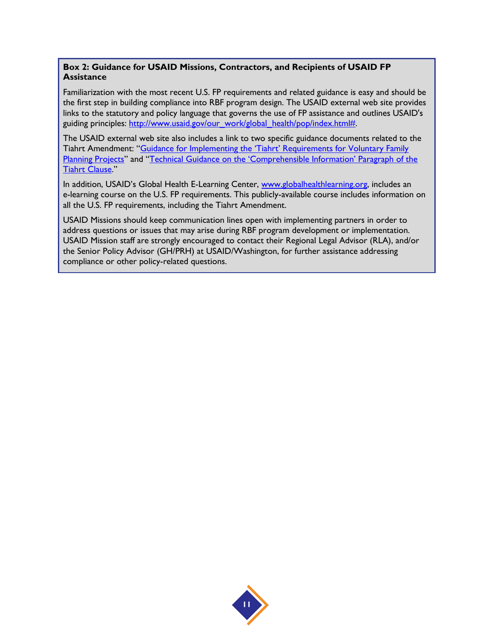#### **Box 2: Guidance for USAID Missions, Contractors, and Recipients of USAID FP Assistance**

Familiarization with the most recent U.S. FP requirements and related guidance is easy and should be the first step in building compliance into RBF program design. The USAID external web site provides links to the statutory and policy language that governs the use of FP assistance and outlines USAID's guiding principles: [http://www.usaid.gov/our\\_work/global\\_health/pop/index.html#.](http://www.usaid.gov/our_work/global_health/pop/index.html)

The USAID external web site also includes a link to two specific guidance documents related to the Tiahrt Amendment: "Guidance for Implementing the 'Tiahrt' Requirements for Voluntary Family [Planning Projects](https://www.usaid.gov/sites/default/files/documents/1864/tiahrtqa.pdf)" and "Technical Guidance on the 'Comprehensible Information' Paragraph of the [Tiahrt Clause](https://www.usaid.gov/sites/default/files/documents/1864/tiajim3b.pdf)."

In addition, USAID's Global Health E-Learning Center, [www.globalhealthlearning.org,](http://www.globalhealthlearning.org/) includes an e-learning course on the U.S. FP requirements. This publicly-available course includes information on all the U.S. FP requirements, including the Tiahrt Amendment.

USAID Missions should keep communication lines open with implementing partners in order to address questions or issues that may arise during RBF program development or implementation. USAID Mission staff are strongly encouraged to contact their Regional Legal Advisor (RLA), and/or the Senior Policy Advisor (GH/PRH) at USAID/Washington, for further assistance addressing compliance or other policy-related questions.

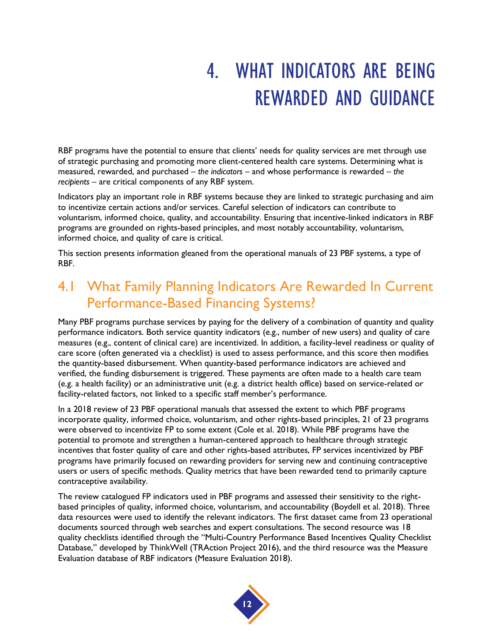## 4. WHAT INDICATORS ARE BEING REWARDED AND GUIDANCE

RBF programs have the potential to ensure that clients' needs for quality services are met through use of strategic purchasing and promoting more client-centered health care systems. Determining what is measured, rewarded, and purchased – *the indicators* – and whose performance is rewarded – *the recipients* – are critical components of any RBF system.

Indicators play an important role in RBF systems because they are linked to strategic purchasing and aim to incentivize certain actions and/or services. Careful selection of indicators can contribute to voluntarism, informed choice, quality, and accountability. Ensuring that incentive-linked indicators in RBF programs are grounded on rights-based principles, and most notably accountability, voluntarism, informed choice, and quality of care is critical.

This section presents information gleaned from the operational manuals of 23 PBF systems, a type of RBF.

### 4.1 What Family Planning Indicators Are Rewarded In Current Performance-Based Financing Systems?

Many PBF programs purchase services by paying for the delivery of a combination of quantity and quality performance indicators. Both service quantity indicators (e.g., number of new users) and quality of care measures (e.g., content of clinical care) are incentivized. In addition, a facility-level readiness or quality of care score (often generated via a checklist) is used to assess performance, and this score then modifies the quantity-based disbursement. When quantity-based performance indicators are achieved and verified, the funding disbursement is triggered. These payments are often made to a health care team (e.g. a health facility) or an administrative unit (e.g. a district health office) based on service-related or facility-related factors, not linked to a specific staff member's performance.

In a 2018 review of 23 PBF operational manuals that assessed the extent to which PBF programs incorporate quality, informed choice, voluntarism, and other rights-based principles, 21 of 23 programs were observed to incentivize FP to some extent (Cole et al. 2018). While PBF programs have the potential to promote and strengthen a human-centered approach to healthcare through strategic incentives that foster quality of care and other rights-based attributes, FP services incentivized by PBF programs have primarily focused on rewarding providers for serving new and continuing contraceptive users or users of specific methods. Quality metrics that have been rewarded tend to primarily capture contraceptive availability.

The review catalogued FP indicators used in PBF programs and assessed their sensitivity to the rightbased principles of quality, informed choice, voluntarism, and accountability (Boydell et al. 2018). Three data resources were used to identify the relevant indicators. The first dataset came from 23 operational documents sourced through web searches and expert consultations. The second resource was 18 quality checklists identified through the "Multi-Country Performance Based Incentives Quality Checklist Database," developed by ThinkWell (TRAction Project 2016), and the third resource was the Measure Evaluation database of RBF indicators (Measure Evaluation 2018).

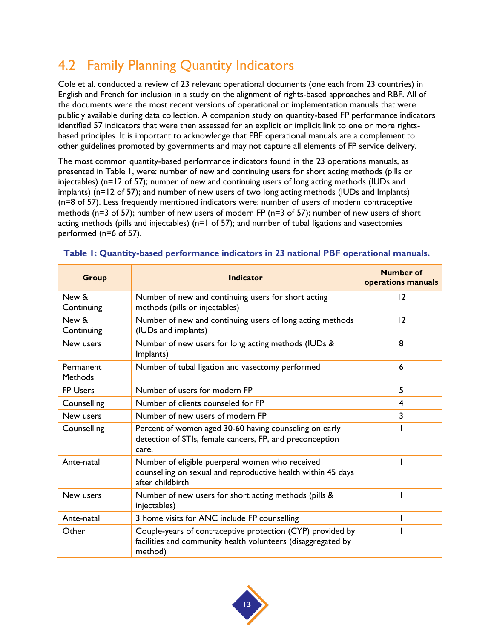## 4.2 Family Planning Quantity Indicators

Cole et al. conducted a review of 23 relevant operational documents (one each from 23 countries) in English and French for inclusion in a study on the alignment of rights-based approaches and RBF. All of the documents were the most recent versions of operational or implementation manuals that were publicly available during data collection. A companion study on quantity-based FP performance indicators identified 57 indicators that were then assessed for an explicit or implicit link to one or more rightsbased principles. It is important to acknowledge that PBF operational manuals are a complement to other guidelines promoted by governments and may not capture all elements of FP service delivery.

The most common quantity-based performance indicators found in the 23 operations manuals, as presented in Table 1, were: number of new and continuing users for short acting methods (pills or injectables) (n=12 of 57); number of new and continuing users of long acting methods (IUDs and implants) (n=12 of 57); and number of new users of two long acting methods (IUDs and Implants) (n=8 of 57). Less frequently mentioned indicators were: number of users of modern contraceptive methods (n=3 of 57); number of new users of modern FP (n=3 of 57); number of new users of short acting methods (pills and injectables) (n=1 of 57); and number of tubal ligations and vasectomies performed (n=6 of 57).

| <b>Group</b>                | <b>Indicator</b>                                                                                                                      | <b>Number of</b><br>operations manuals |
|-----------------------------|---------------------------------------------------------------------------------------------------------------------------------------|----------------------------------------|
| New &<br>Continuing         | Number of new and continuing users for short acting<br>methods (pills or injectables)                                                 | 12                                     |
| New &<br>Continuing         | Number of new and continuing users of long acting methods<br>(IUDs and implants)                                                      | 12                                     |
| New users                   | Number of new users for long acting methods (IUDs &<br>Implants)                                                                      | 8                                      |
| Permanent<br><b>Methods</b> | Number of tubal ligation and vasectomy performed                                                                                      | 6                                      |
| <b>FP Users</b>             | Number of users for modern FP                                                                                                         | 5                                      |
| Counselling                 | Number of clients counseled for FP                                                                                                    | 4                                      |
| New users                   | Number of new users of modern FP                                                                                                      | $\overline{3}$                         |
| Counselling                 | Percent of women aged 30-60 having counseling on early<br>detection of STIs, female cancers, FP, and preconception<br>care.           |                                        |
| Ante-natal                  | Number of eligible puerperal women who received<br>counselling on sexual and reproductive health within 45 days<br>after childbirth   |                                        |
| New users                   | Number of new users for short acting methods (pills &<br>injectables)                                                                 |                                        |
| Ante-natal                  | 3 home visits for ANC include FP counselling                                                                                          |                                        |
| Other                       | Couple-years of contraceptive protection (CYP) provided by<br>facilities and community health volunteers (disaggregated by<br>method) |                                        |

#### <span id="page-18-0"></span>**Table 1: Quantity-based performance indicators in 23 national PBF operational manuals.**

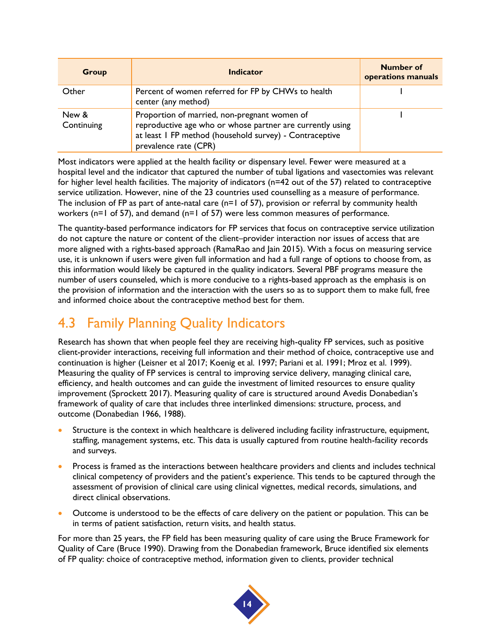| <b>Group</b>        | Indicator                                                                                                                                                                                     | <b>Number of</b><br>operations manuals |
|---------------------|-----------------------------------------------------------------------------------------------------------------------------------------------------------------------------------------------|----------------------------------------|
| Other               | Percent of women referred for FP by CHWs to health<br>center (any method)                                                                                                                     |                                        |
| New &<br>Continuing | Proportion of married, non-pregnant women of<br>reproductive age who or whose partner are currently using<br>at least I FP method (household survey) - Contraceptive<br>prevalence rate (CPR) |                                        |

Most indicators were applied at the health facility or dispensary level. Fewer were measured at a hospital level and the indicator that captured the number of tubal ligations and vasectomies was relevant for higher level health facilities. The majority of indicators (n=42 out of the 57) related to contraceptive service utilization. However, nine of the 23 countries used counselling as a measure of performance. The inclusion of FP as part of ante-natal care (n=1 of 57), provision or referral by community health workers (n=1 of 57), and demand (n=1 of 57) were less common measures of performance.

The quantity-based performance indicators for FP services that focus on contraceptive service utilization do not capture the nature or content of the client–provider interaction nor issues of access that are more aligned with a rights-based approach (RamaRao and Jain 2015). With a focus on measuring service use, it is unknown if users were given full information and had a full range of options to choose from, as this information would likely be captured in the quality indicators. Several PBF programs measure the number of users counseled, which is more conducive to a rights-based approach as the emphasis is on the provision of information and the interaction with the users so as to support them to make full, free and informed choice about the contraceptive method best for them.

## 4.3 Family Planning Quality Indicators

Research has shown that when people feel they are receiving high-quality FP services, such as positive client-provider interactions, receiving full information and their method of choice, contraceptive use and continuation is higher (Leisner et al 2017; Koenig et al. 1997; Pariani et al. 1991; Mroz et al. 1999). Measuring the quality of FP services is central to improving service delivery, managing clinical care, efficiency, and health outcomes and can guide the investment of limited resources to ensure quality improvement (Sprockett 2017). Measuring quality of care is structured around Avedis Donabedian's framework of quality of care that includes three interlinked dimensions: structure, process, and outcome (Donabedian 1966, 1988).

- Structure is the context in which healthcare is delivered including facility infrastructure, equipment, staffing, management systems, etc. This data is usually captured from routine health-facility records and surveys.
- Process is framed as the interactions between healthcare providers and clients and includes technical clinical competency of providers and the patient's experience. This tends to be captured through the assessment of provision of clinical care using clinical vignettes, medical records, simulations, and direct clinical observations.
- Outcome is understood to be the effects of care delivery on the patient or population. This can be in terms of patient satisfaction, return visits, and health status.

For more than 25 years, the FP field has been measuring quality of care using the Bruce Framework for Quality of Care (Bruce 1990). Drawing from the Donabedian framework, Bruce identified six elements of FP quality: choice of contraceptive method, information given to clients, provider technical

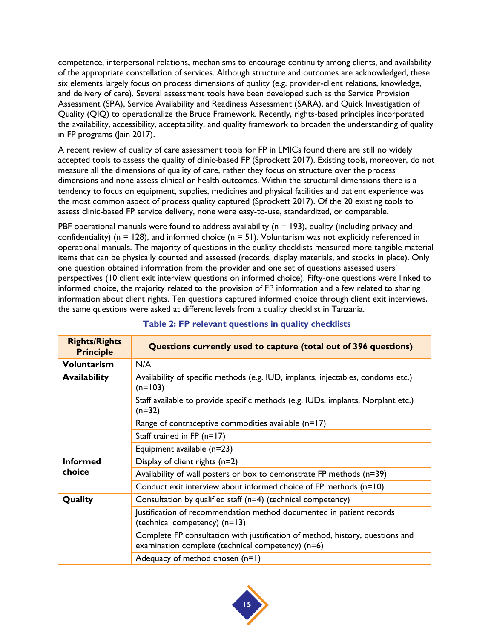competence, interpersonal relations, mechanisms to encourage continuity among clients, and availability of the appropriate constellation of services. Although structure and outcomes are acknowledged, these six elements largely focus on process dimensions of quality (e.g. provider-client relations, knowledge, and delivery of care). Several assessment tools have been developed such as the Service Provision Assessment (SPA), Service Availability and Readiness Assessment (SARA), and Quick Investigation of Quality (QIQ) to operationalize the Bruce Framework. Recently, rights-based principles incorporated the availability, accessibility, acceptability, and quality framework to broaden the understanding of quality in FP programs (Jain 2017).

A recent review of quality of care assessment tools for FP in LMICs found there are still no widely accepted tools to assess the quality of clinic-based FP (Sprockett 2017). Existing tools, moreover, do not measure all the dimensions of quality of care, rather they focus on structure over the process dimensions and none assess clinical or health outcomes. Within the structural dimensions there is a tendency to focus on equipment, supplies, medicines and physical facilities and patient experience was the most common aspect of process quality captured (Sprockett 2017). Of the 20 existing tools to assess clinic-based FP service delivery, none were easy-to-use, standardized, or comparable.

PBF operational manuals were found to address availability ( $n = 193$ ), quality (including privacy and confidentiality) ( $n = 128$ ), and informed choice ( $n = 51$ ). Voluntarism was not explicitly referenced in operational manuals. The majority of questions in the quality checklists measured more tangible material items that can be physically counted and assessed (records, display materials, and stocks in place). Only one question obtained information from the provider and one set of questions assessed users' perspectives (10 client exit interview questions on informed choice). Fifty-one questions were linked to informed choice, the majority related to the provision of FP information and a few related to sharing information about client rights. Ten questions captured informed choice through client exit interviews, the same questions were asked at different levels from a quality checklist in Tanzania.

<span id="page-20-0"></span>

| <b>Rights/Rights</b><br><b>Principle</b> | Questions currently used to capture (total out of 396 questions)                                                                   |
|------------------------------------------|------------------------------------------------------------------------------------------------------------------------------------|
| <b>Voluntarism</b>                       | N/A                                                                                                                                |
| <b>Availability</b>                      | Availability of specific methods (e.g. IUD, implants, injectables, condoms etc.)<br>$(n=103)$                                      |
|                                          | Staff available to provide specific methods (e.g. IUDs, implants, Norplant etc.)<br>$(n=32)$                                       |
|                                          | Range of contraceptive commodities available $(n=17)$                                                                              |
|                                          | Staff trained in FP $(n=17)$                                                                                                       |
|                                          | Equipment available (n=23)                                                                                                         |
| <b>Informed</b><br>choice                | Display of client rights $(n=2)$                                                                                                   |
|                                          | Availability of wall posters or box to demonstrate FP methods (n=39)                                                               |
|                                          | Conduct exit interview about informed choice of FP methods $(n=10)$                                                                |
| Quality                                  | Consultation by qualified staff (n=4) (technical competency)                                                                       |
|                                          | Justification of recommendation method documented in patient records<br>(technical competency) (n=13)                              |
|                                          | Complete FP consultation with justification of method, history, questions and<br>examination complete (technical competency) (n=6) |
|                                          | Adequacy of method chosen $(n=1)$                                                                                                  |

### **Table 2: FP relevant questions in quality checklists**

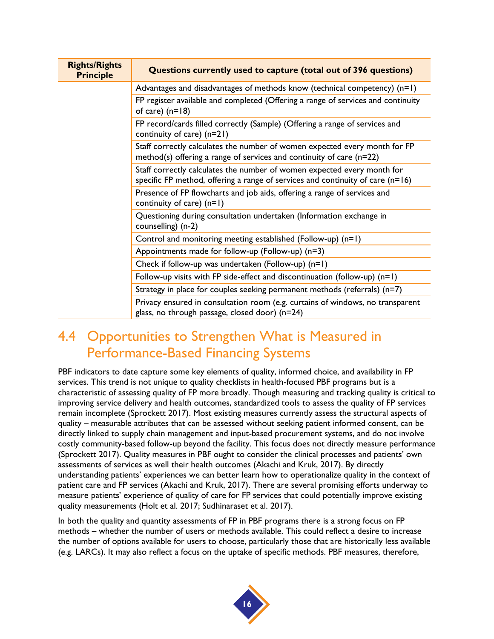| <b>Rights/Rights</b><br><b>Principle</b>                                                                                                                                                                                                                                            | Questions currently used to capture (total out of 396 questions)                                                                 |
|-------------------------------------------------------------------------------------------------------------------------------------------------------------------------------------------------------------------------------------------------------------------------------------|----------------------------------------------------------------------------------------------------------------------------------|
|                                                                                                                                                                                                                                                                                     | Advantages and disadvantages of methods know (technical competency) $(n=1)$                                                      |
| of care) $(n=18)$<br>FP record/cards filled correctly (Sample) (Offering a range of services and<br>continuity of care) (n=21)<br>method(s) offering a range of services and continuity of care $(n=22)$<br>Staff correctly calculates the number of women expected every month for | FP register available and completed (Offering a range of services and continuity                                                 |
|                                                                                                                                                                                                                                                                                     |                                                                                                                                  |
|                                                                                                                                                                                                                                                                                     | Staff correctly calculates the number of women expected every month for FP                                                       |
|                                                                                                                                                                                                                                                                                     | specific FP method, offering a range of services and continuity of care $(n=16)$                                                 |
|                                                                                                                                                                                                                                                                                     | Presence of FP flowcharts and job aids, offering a range of services and<br>continuity of care) $(n=1)$                          |
|                                                                                                                                                                                                                                                                                     | Questioning during consultation undertaken (Information exchange in<br>counselling) (n-2)                                        |
|                                                                                                                                                                                                                                                                                     | Control and monitoring meeting established (Follow-up) (n=1)                                                                     |
|                                                                                                                                                                                                                                                                                     | Appointments made for follow-up (Follow-up) (n=3)                                                                                |
|                                                                                                                                                                                                                                                                                     | Check if follow-up was undertaken (Follow-up) (n=1)                                                                              |
|                                                                                                                                                                                                                                                                                     | Follow-up visits with FP side-effect and discontinuation (follow-up) $(n=1)$                                                     |
|                                                                                                                                                                                                                                                                                     | Strategy in place for couples seeking permanent methods (referrals) (n=7)                                                        |
|                                                                                                                                                                                                                                                                                     | Privacy ensured in consultation room (e.g. curtains of windows, no transparent<br>glass, no through passage, closed door) (n=24) |

### 4.4 Opportunities to Strengthen What is Measured in Performance-Based Financing Systems

PBF indicators to date capture some key elements of quality, informed choice, and availability in FP services. This trend is not unique to quality checklists in health-focused PBF programs but is a characteristic of assessing quality of FP more broadly. Though measuring and tracking quality is critical to improving service delivery and health outcomes, standardized tools to assess the quality of FP services remain incomplete (Sprockett 2017). Most existing measures currently assess the structural aspects of quality – measurable attributes that can be assessed without seeking patient informed consent, can be directly linked to supply chain management and input-based procurement systems, and do not involve costly community-based follow-up beyond the facility. This focus does not directly measure performance (Sprockett 2017). Quality measures in PBF ought to consider the clinical processes and patients' own assessments of services as well their health outcomes (Akachi and Kruk, 2017). By directly understanding patients' experiences we can better learn how to operationalize quality in the context of patient care and FP services (Akachi and Kruk, 2017). There are several promising efforts underway to measure patients' experience of quality of care for FP services that could potentially improve existing quality measurements (Holt et al. 2017; Sudhinaraset et al. 2017).

In both the quality and quantity assessments of FP in PBF programs there is a strong focus on FP methods – whether the number of users or methods available. This could reflect a desire to increase the number of options available for users to choose, particularly those that are historically less available (e.g. LARCs). It may also reflect a focus on the uptake of specific methods. PBF measures, therefore,

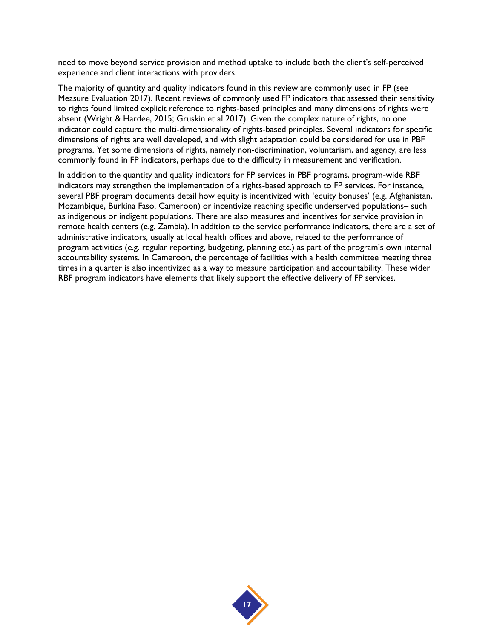need to move beyond service provision and method uptake to include both the client's self-perceived experience and client interactions with providers.

The majority of quantity and quality indicators found in this review are commonly used in FP (see Measure Evaluation 2017). Recent reviews of commonly used FP indicators that assessed their sensitivity to rights found limited explicit reference to rights-based principles and many dimensions of rights were absent (Wright & Hardee, 2015; Gruskin et al 2017). Given the complex nature of rights, no one indicator could capture the multi-dimensionality of rights-based principles. Several indicators for specific dimensions of rights are well developed, and with slight adaptation could be considered for use in PBF programs. Yet some dimensions of rights, namely non-discrimination, voluntarism, and agency, are less commonly found in FP indicators, perhaps due to the difficulty in measurement and verification.

In addition to the quantity and quality indicators for FP services in PBF programs, program-wide RBF indicators may strengthen the implementation of a rights-based approach to FP services. For instance, several PBF program documents detail how equity is incentivized with 'equity bonuses' (e.g. Afghanistan, Mozambique, Burkina Faso, Cameroon) or incentivize reaching specific underserved populations– such as indigenous or indigent populations. There are also measures and incentives for service provision in remote health centers (e.g. Zambia). In addition to the service performance indicators, there are a set of administrative indicators, usually at local health offices and above, related to the performance of program activities (e.g. regular reporting, budgeting, planning etc.) as part of the program's own internal accountability systems. In Cameroon, the percentage of facilities with a health committee meeting three times in a quarter is also incentivized as a way to measure participation and accountability. These wider RBF program indicators have elements that likely support the effective delivery of FP services.

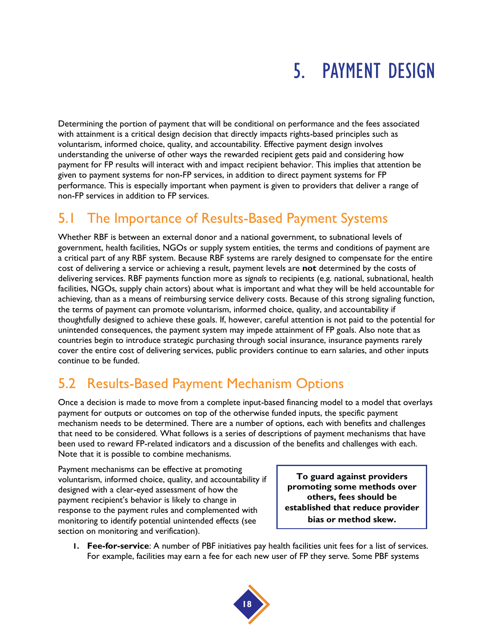## 5. PAYMENT DESIGN

Determining the portion of payment that will be conditional on performance and the fees associated with attainment is a critical design decision that directly impacts rights-based principles such as voluntarism, informed choice, quality, and accountability. Effective payment design involves understanding the universe of other ways the rewarded recipient gets paid and considering how payment for FP results will interact with and impact recipient behavior. This implies that attention be given to payment systems for non-FP services, in addition to direct payment systems for FP performance. This is especially important when payment is given to providers that deliver a range of non-FP services in addition to FP services.

## 5.1 The Importance of Results-Based Payment Systems

Whether RBF is between an external donor and a national government, to subnational levels of government, health facilities, NGOs or supply system entities, the terms and conditions of payment are a critical part of any RBF system. Because RBF systems are rarely designed to compensate for the entire cost of delivering a service or achieving a result, payment levels are **not** determined by the costs of delivering services. RBF payments function more as *signals* to recipients (e.g. national, subnational, health facilities, NGOs, supply chain actors) about what is important and what they will be held accountable for achieving, than as a means of reimbursing service delivery costs. Because of this strong signaling function, the terms of payment can promote voluntarism, informed choice, quality, and accountability if thoughtfully designed to achieve these goals. If, however, careful attention is not paid to the potential for unintended consequences, the payment system may impede attainment of FP goals. Also note that as countries begin to introduce strategic purchasing through social insurance, insurance payments rarely cover the entire cost of delivering services, public providers continue to earn salaries, and other inputs continue to be funded.

## 5.2 Results-Based Payment Mechanism Options

Once a decision is made to move from a complete input-based financing model to a model that overlays payment for outputs or outcomes on top of the otherwise funded inputs, the specific payment mechanism needs to be determined. There are a number of options, each with benefits and challenges that need to be considered. What follows is a series of descriptions of payment mechanisms that have been used to reward FP-related indicators and a discussion of the benefits and challenges with each. Note that it is possible to combine mechanisms.

Payment mechanisms can be effective at promoting voluntarism, informed choice, quality, and accountability if designed with a clear-eyed assessment of how the payment recipient's behavior is likely to change in response to the payment rules and complemented with monitoring to identify potential unintended effects (see section on monitoring and verification).

**To guard against providers promoting some methods over others, fees should be established that reduce provider bias or method skew.** 

**1. Fee-for-service**: A number of PBF initiatives pay health facilities unit fees for a list of services. For example, facilities may earn a fee for each new user of FP they serve. Some PBF systems

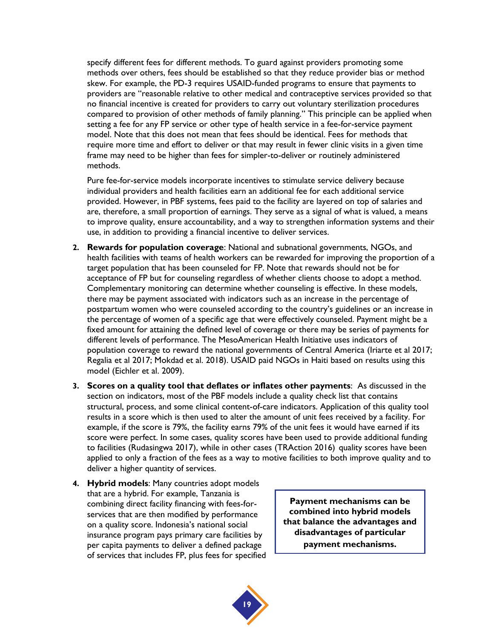specify different fees for different methods. To guard against providers promoting some methods over others, fees should be established so that they reduce provider bias or method skew. For example, the PD-3 requires USAID-funded programs to ensure that payments to providers are "reasonable relative to other medical and contraceptive services provided so that no financial incentive is created for providers to carry out voluntary sterilization procedures compared to provision of other methods of family planning." This principle can be applied when setting a fee for any FP service or other type of health service in a fee-for-service payment model. Note that this does not mean that fees should be identical. Fees for methods that require more time and effort to deliver or that may result in fewer clinic visits in a given time frame may need to be higher than fees for simpler-to-deliver or routinely administered methods.

Pure fee-for-service models incorporate incentives to stimulate service delivery because individual providers and health facilities earn an additional fee for each additional service provided. However, in PBF systems, fees paid to the facility are layered on top of salaries and are, therefore, a small proportion of earnings. They serve as a signal of what is valued, a means to improve quality, ensure accountability, and a way to strengthen information systems and their use, in addition to providing a financial incentive to deliver services.

- **2. Rewards for population coverage**: National and subnational governments, NGOs, and health facilities with teams of health workers can be rewarded for improving the proportion of a target population that has been counseled for FP. Note that rewards should not be for acceptance of FP but for counseling regardless of whether clients choose to adopt a method. Complementary monitoring can determine whether counseling is effective. In these models, there may be payment associated with indicators such as an increase in the percentage of postpartum women who were counseled according to the country's guidelines or an increase in the percentage of women of a specific age that were effectively counseled. Payment might be a fixed amount for attaining the defined level of coverage or there may be series of payments for different levels of performance. The MesoAmerican Health Initiative uses indicators of population coverage to reward the national governments of Central America (Iriarte et al 2017; Regalia et al 2017; Mokdad et al. 2018). USAID paid NGOs in Haiti based on results using this model (Eichler et al. 2009).
- **3. Scores on a quality tool that deflates or inflates other payments**: As discussed in the section on indicators, most of the PBF models include a quality check list that contains structural, process, and some clinical content-of-care indicators. Application of this quality tool results in a score which is then used to alter the amount of unit fees received by a facility. For example, if the score is 79%, the facility earns 79% of the unit fees it would have earned if its score were perfect. In some cases, quality scores have been used to provide additional funding to facilities (Rudasingwa 2017), while in other cases (TRAction 2016) quality scores have been applied to only a fraction of the fees as a way to motive facilities to both improve quality and to deliver a higher quantity of services.
- **4. Hybrid models**: Many countries adopt models that are a hybrid. For example, Tanzania is combining direct facility financing with fees-forservices that are then modified by performance on a quality score. Indonesia's national social insurance program pays primary care facilities by per capita payments to deliver a defined package of services that includes FP, plus fees for specified

**Payment mechanisms can be combined into hybrid models that balance the advantages and disadvantages of particular payment mechanisms.**

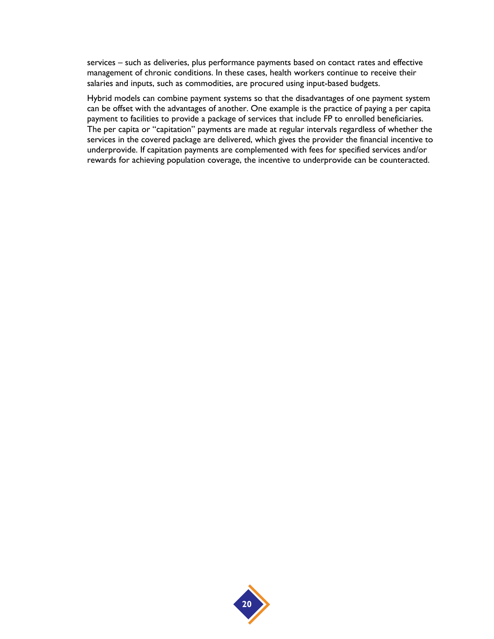services – such as deliveries, plus performance payments based on contact rates and effective management of chronic conditions. In these cases, health workers continue to receive their salaries and inputs, such as commodities, are procured using input-based budgets.

Hybrid models can combine payment systems so that the disadvantages of one payment system can be offset with the advantages of another. One example is the practice of paying a per capita payment to facilities to provide a package of services that include FP to enrolled beneficiaries. The per capita or "capitation" payments are made at regular intervals regardless of whether the services in the covered package are delivered, which gives the provider the financial incentive to underprovide. If capitation payments are complemented with fees for specified services and/or rewards for achieving population coverage, the incentive to underprovide can be counteracted.

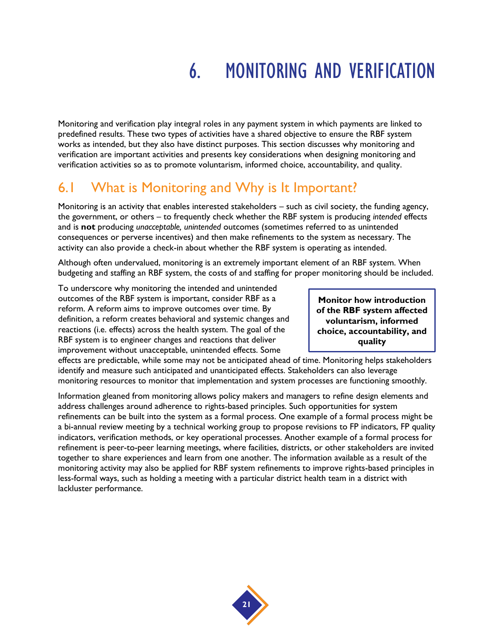## 6. MONITORING AND VERIFICATION

Monitoring and verification play integral roles in any payment system in which payments are linked to predefined results. These two types of activities have a shared objective to ensure the RBF system works as intended, but they also have distinct purposes. This section discusses why monitoring and verification are important activities and presents key considerations when designing monitoring and verification activities so as to promote voluntarism, informed choice, accountability, and quality.

### 6.1 What is Monitoring and Why is It Important?

Monitoring is an activity that enables interested stakeholders – such as civil society, the funding agency, the government, or others – to frequently check whether the RBF system is producing *intended* effects and is **not** producing *unacceptable, unintended* outcomes (sometimes referred to as unintended consequences or perverse incentives) and then make refinements to the system as necessary. The activity can also provide a check-in about whether the RBF system is operating as intended.

Although often undervalued, monitoring is an extremely important element of an RBF system. When budgeting and staffing an RBF system, the costs of and staffing for proper monitoring should be included.

To underscore why monitoring the intended and unintended outcomes of the RBF system is important, consider RBF as a reform. A reform aims to improve outcomes over time. By definition, a reform creates behavioral and systemic changes and reactions (i.e. effects) across the health system. The goal of the RBF system is to engineer changes and reactions that deliver improvement without unacceptable, unintended effects. Some

**Monitor how introduction of the RBF system affected voluntarism, informed choice, accountability, and quality**

effects are predictable, while some may not be anticipated ahead of time. Monitoring helps stakeholders identify and measure such anticipated and unanticipated effects. Stakeholders can also leverage monitoring resources to monitor that implementation and system processes are functioning smoothly.

Information gleaned from monitoring allows policy makers and managers to refine design elements and address challenges around adherence to rights-based principles. Such opportunities for system refinements can be built into the system as a formal process. One example of a formal process might be a bi-annual review meeting by a technical working group to propose revisions to FP indicators, FP quality indicators, verification methods, or key operational processes. Another example of a formal process for refinement is peer-to-peer learning meetings, where facilities, districts, or other stakeholders are invited together to share experiences and learn from one another. The information available as a result of the monitoring activity may also be applied for RBF system refinements to improve rights-based principles in less-formal ways, such as holding a meeting with a particular district health team in a district with lackluster performance.

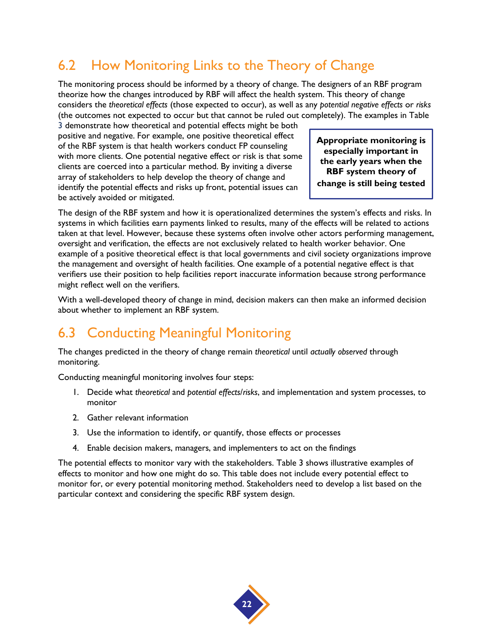## 6.2 How Monitoring Links to the Theory of Change

The monitoring process should be informed by a theory of change. The designers of an RBF program theorize how the changes introduced by RBF will affect the health system. This theory of change considers the *theoretical effects* (those expected to occur), as well as any *potential negative effects* or *risks* (the outcomes not expected to occur but that cannot be ruled out completely). The examples in Table

3 demonstrate how theoretical and potential effects might be both positive and negative. For example, one positive theoretical effect of the RBF system is that health workers conduct FP counseling with more clients. One potential negative effect or risk is that some clients are coerced into a particular method. By inviting a diverse array of stakeholders to help develop the theory of change and identify the potential effects and risks up front, potential issues can be actively avoided or mitigated.

**Appropriate monitoring is especially important in the early years when the RBF system theory of change is still being tested**

The design of the RBF system and how it is operationalized determines the system's effects and risks. In systems in which facilities earn payments linked to results, many of the effects will be related to actions taken at that level. However, because these systems often involve other actors performing management, oversight and verification, the effects are not exclusively related to health worker behavior. One example of a positive theoretical effect is that local governments and civil society organizations improve the management and oversight of health facilities. One example of a potential negative effect is that verifiers use their position to help facilities report inaccurate information because strong performance might reflect well on the verifiers.

With a well-developed theory of change in mind, decision makers can then make an informed decision about whether to implement an RBF system.

## 6.3 Conducting Meaningful Monitoring

The changes predicted in the theory of change remain *theoretical* until *actually observed* through monitoring.

Conducting meaningful monitoring involves four steps:

- 1. Decide what *theoretical* and *potential effects*/*risks*, and implementation and system processes, to monitor
- 2. Gather relevant information
- 3. Use the information to identify, or quantify, those effects or processes
- 4. Enable decision makers, managers, and implementers to act on the findings

The potential effects to monitor vary with the stakeholders. Table 3 shows illustrative examples of effects to monitor and how one might do so. This table does not include every potential effect to monitor for, or every potential monitoring method. Stakeholders need to develop a list based on the particular context and considering the specific RBF system design.

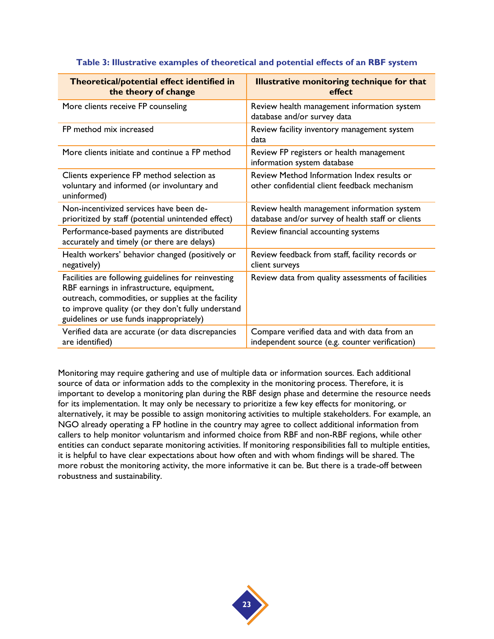<span id="page-28-0"></span>

| Theoretical/potential effect identified in<br>the theory of change                                                                                                                                                                                        | <b>Illustrative monitoring technique for that</b><br>effect                                      |
|-----------------------------------------------------------------------------------------------------------------------------------------------------------------------------------------------------------------------------------------------------------|--------------------------------------------------------------------------------------------------|
| More clients receive FP counseling                                                                                                                                                                                                                        | Review health management information system<br>database and/or survey data                       |
| FP method mix increased                                                                                                                                                                                                                                   | Review facility inventory management system<br>data                                              |
| More clients initiate and continue a FP method                                                                                                                                                                                                            | Review FP registers or health management<br>information system database                          |
| Clients experience FP method selection as<br>voluntary and informed (or involuntary and<br>uninformed)                                                                                                                                                    | Review Method Information Index results or<br>other confidential client feedback mechanism       |
| Non-incentivized services have been de-<br>prioritized by staff (potential unintended effect)                                                                                                                                                             | Review health management information system<br>database and/or survey of health staff or clients |
| Performance-based payments are distributed<br>accurately and timely (or there are delays)                                                                                                                                                                 | Review financial accounting systems                                                              |
| Health workers' behavior changed (positively or<br>negatively)                                                                                                                                                                                            | Review feedback from staff, facility records or<br>client surveys                                |
| Facilities are following guidelines for reinvesting<br>RBF earnings in infrastructure, equipment,<br>outreach, commodities, or supplies at the facility<br>to improve quality (or they don't fully understand<br>guidelines or use funds inappropriately) | Review data from quality assessments of facilities                                               |
| Verified data are accurate (or data discrepancies<br>are identified)                                                                                                                                                                                      | Compare verified data and with data from an<br>independent source (e.g. counter verification)    |

#### **Table 3: Illustrative examples of theoretical and potential effects of an RBF system**

Monitoring may require gathering and use of multiple data or information sources. Each additional source of data or information adds to the complexity in the monitoring process. Therefore, it is important to develop a monitoring plan during the RBF design phase and determine the resource needs for its implementation. It may only be necessary to prioritize a few key effects for monitoring, or alternatively, it may be possible to assign monitoring activities to multiple stakeholders. For example, an NGO already operating a FP hotline in the country may agree to collect additional information from callers to help monitor voluntarism and informed choice from RBF and non-RBF regions, while other entities can conduct separate monitoring activities. If monitoring responsibilities fall to multiple entities, it is helpful to have clear expectations about how often and with whom findings will be shared. The more robust the monitoring activity, the more informative it can be. But there is a trade-off between robustness and sustainability.

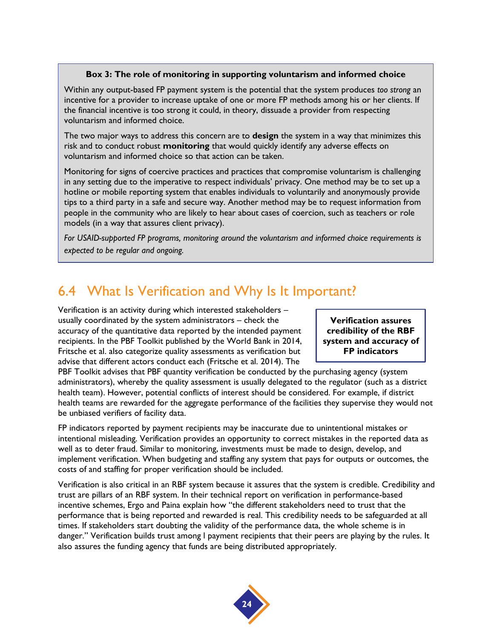#### **Box 3: The role of monitoring in supporting voluntarism and informed choice**

Within any output-based FP payment system is the potential that the system produces *too strong* an incentive for a provider to increase uptake of one or more FP methods among his or her clients. If the financial incentive is too strong it could, in theory, dissuade a provider from respecting voluntarism and informed choice.

The two major ways to address this concern are to **design** the system in a way that minimizes this risk and to conduct robust **monitoring** that would quickly identify any adverse effects on voluntarism and informed choice so that action can be taken.

Monitoring for signs of coercive practices and practices that compromise voluntarism is challenging in any setting due to the imperative to respect individuals' privacy. One method may be to set up a hotline or mobile reporting system that enables individuals to voluntarily and anonymously provide tips to a third party in a safe and secure way. Another method may be to request information from people in the community who are likely to hear about cases of coercion, such as teachers or role models (in a way that assures client privacy).

*For USAID-supported FP programs, monitoring around the voluntarism and informed choice requirements is expected to be regular and ongoing.*

### 6.4 What Is Verification and Why Is It Important?

Verification is an activity during which interested stakeholders – usually coordinated by the system administrators – check the accuracy of the quantitative data reported by the intended payment recipients. In the PBF Toolkit published by the World Bank in 2014, Fritsche et al. also categorize quality assessments as verification but advise that different actors conduct each (Fritsche et al. 2014). The

**Verification assures credibility of the RBF system and accuracy of FP indicators**

PBF Toolkit advises that PBF quantity verification be conducted by the purchasing agency (system administrators), whereby the quality assessment is usually delegated to the regulator (such as a district health team). However, potential conflicts of interest should be considered. For example, if district health teams are rewarded for the aggregate performance of the facilities they supervise they would not be unbiased verifiers of facility data.

FP indicators reported by payment recipients may be inaccurate due to unintentional mistakes or intentional misleading. Verification provides an opportunity to correct mistakes in the reported data as well as to deter fraud. Similar to monitoring, investments must be made to design, develop, and implement verification. When budgeting and staffing any system that pays for outputs or outcomes, the costs of and staffing for proper verification should be included.

Verification is also critical in an RBF system because it assures that the system is credible. Credibility and trust are pillars of an RBF system. In their technical report on verification in performance-based incentive schemes, Ergo and Paina explain how "the different stakeholders need to trust that the performance that is being reported and rewarded is real. This credibility needs to be safeguarded at all times. If stakeholders start doubting the validity of the performance data, the whole scheme is in danger." Verification builds trust among l payment recipients that their peers are playing by the rules. It also assures the funding agency that funds are being distributed appropriately.

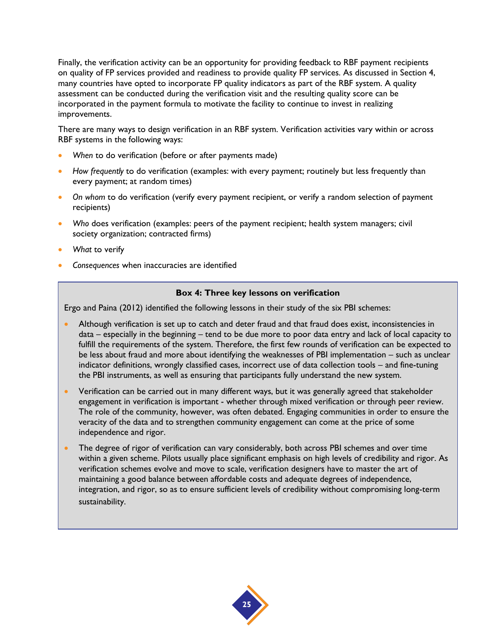Finally, the verification activity can be an opportunity for providing feedback to RBF payment recipients on quality of FP services provided and readiness to provide quality FP services. As discussed in Section 4, many countries have opted to incorporate FP quality indicators as part of the RBF system. A quality assessment can be conducted during the verification visit and the resulting quality score can be incorporated in the payment formula to motivate the facility to continue to invest in realizing improvements.

There are many ways to design verification in an RBF system. Verification activities vary within or across RBF systems in the following ways:

- *When* to do verification (before or after payments made)
- *How frequently* to do verification (examples: with every payment; routinely but less frequently than every payment; at random times)
- *On whom* to do verification (verify every payment recipient, or verify a random selection of payment recipients)
- *Who* does verification (examples: peers of the payment recipient; health system managers; civil society organization; contracted firms)
- *What* to verify
- *Consequences* when inaccuracies are identified

#### **Box 4: Three key lessons on verification**

Ergo and Paina (2012) identified the following lessons in their study of the six PBI schemes:

- Although verification is set up to catch and deter fraud and that fraud does exist, inconsistencies in data – especially in the beginning – tend to be due more to poor data entry and lack of local capacity to fulfill the requirements of the system. Therefore, the first few rounds of verification can be expected to be less about fraud and more about identifying the weaknesses of PBI implementation – such as unclear indicator definitions, wrongly classified cases, incorrect use of data collection tools – and fine-tuning the PBI instruments, as well as ensuring that participants fully understand the new system.
- Verification can be carried out in many different ways, but it was generally agreed that stakeholder engagement in verification is important - whether through mixed verification or through peer review. The role of the community, however, was often debated. Engaging communities in order to ensure the veracity of the data and to strengthen community engagement can come at the price of some independence and rigor.
- The degree of rigor of verification can vary considerably, both across PBI schemes and over time within a given scheme. Pilots usually place significant emphasis on high levels of credibility and rigor. As verification schemes evolve and move to scale, verification designers have to master the art of maintaining a good balance between affordable costs and adequate degrees of independence, integration, and rigor, so as to ensure sufficient levels of credibility without compromising long-term sustainability.

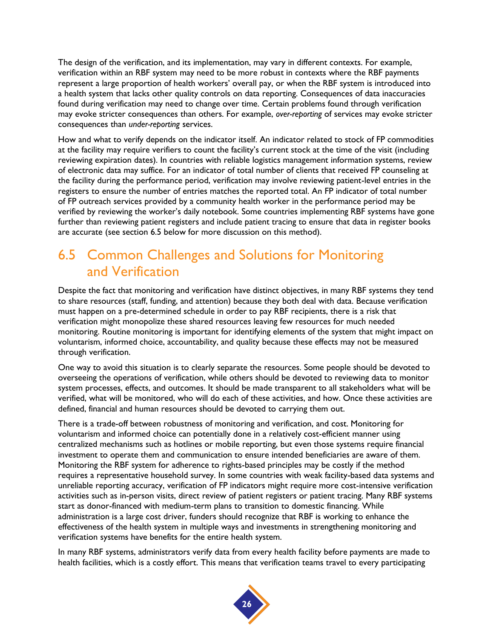The design of the verification, and its implementation, may vary in different contexts. For example, verification within an RBF system may need to be more robust in contexts where the RBF payments represent a large proportion of health workers' overall pay, or when the RBF system is introduced into a health system that lacks other quality controls on data reporting. Consequences of data inaccuracies found during verification may need to change over time. Certain problems found through verification may evoke stricter consequences than others. For example, *over-reporting* of services may evoke stricter consequences than *under-reporting* services.

How and what to verify depends on the indicator itself. An indicator related to stock of FP commodities at the facility may require verifiers to count the facility's current stock at the time of the visit (including reviewing expiration dates). In countries with reliable logistics management information systems, review of electronic data may suffice. For an indicator of total number of clients that received FP counseling at the facility during the performance period, verification may involve reviewing patient-level entries in the registers to ensure the number of entries matches the reported total. An FP indicator of total number of FP outreach services provided by a community health worker in the performance period may be verified by reviewing the worker's daily notebook. Some countries implementing RBF systems have gone further than reviewing patient registers and include patient tracing to ensure that data in register books are accurate (see section 6.5 below for more discussion on this method).

## 6.5 Common Challenges and Solutions for Monitoring and Verification

Despite the fact that monitoring and verification have distinct objectives, in many RBF systems they tend to share resources (staff, funding, and attention) because they both deal with data. Because verification must happen on a pre-determined schedule in order to pay RBF recipients, there is a risk that verification might monopolize these shared resources leaving few resources for much needed monitoring. Routine monitoring is important for identifying elements of the system that might impact on voluntarism, informed choice, accountability, and quality because these effects may not be measured through verification.

One way to avoid this situation is to clearly separate the resources. Some people should be devoted to overseeing the operations of verification, while others should be devoted to reviewing data to monitor system processes, effects, and outcomes. It should be made transparent to all stakeholders what will be verified, what will be monitored, who will do each of these activities, and how. Once these activities are defined, financial and human resources should be devoted to carrying them out.

There is a trade-off between robustness of monitoring and verification, and cost. Monitoring for voluntarism and informed choice can potentially done in a relatively cost-efficient manner using centralized mechanisms such as hotlines or mobile reporting, but even those systems require financial investment to operate them and communication to ensure intended beneficiaries are aware of them. Monitoring the RBF system for adherence to rights-based principles may be costly if the method requires a representative household survey. In some countries with weak facility-based data systems and unreliable reporting accuracy, verification of FP indicators might require more cost-intensive verification activities such as in-person visits, direct review of patient registers or patient tracing. Many RBF systems start as donor-financed with medium-term plans to transition to domestic financing. While administration is a large cost driver, funders should recognize that RBF is working to enhance the effectiveness of the health system in multiple ways and investments in strengthening monitoring and verification systems have benefits for the entire health system.

In many RBF systems, administrators verify data from every health facility before payments are made to health facilities, which is a costly effort. This means that verification teams travel to every participating

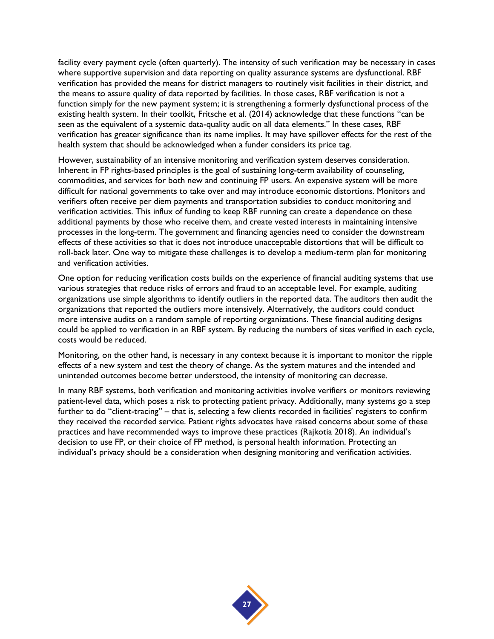facility every payment cycle (often quarterly). The intensity of such verification may be necessary in cases where supportive supervision and data reporting on quality assurance systems are dysfunctional. RBF verification has provided the means for district managers to routinely visit facilities in their district, and the means to assure quality of data reported by facilities. In those cases, RBF verification is not a function simply for the new payment system; it is strengthening a formerly dysfunctional process of the existing health system. In their toolkit, Fritsche et al. (2014) acknowledge that these functions "can be seen as the equivalent of a systemic data-quality audit on all data elements." In these cases, RBF verification has greater significance than its name implies. It may have spillover effects for the rest of the health system that should be acknowledged when a funder considers its price tag.

However, sustainability of an intensive monitoring and verification system deserves consideration. Inherent in FP rights-based principles is the goal of sustaining long-term availability of counseling, commodities, and services for both new and continuing FP users. An expensive system will be more difficult for national governments to take over and may introduce economic distortions. Monitors and verifiers often receive per diem payments and transportation subsidies to conduct monitoring and verification activities. This influx of funding to keep RBF running can create a dependence on these additional payments by those who receive them, and create vested interests in maintaining intensive processes in the long-term. The government and financing agencies need to consider the downstream effects of these activities so that it does not introduce unacceptable distortions that will be difficult to roll-back later. One way to mitigate these challenges is to develop a medium-term plan for monitoring and verification activities.

One option for reducing verification costs builds on the experience of financial auditing systems that use various strategies that reduce risks of errors and fraud to an acceptable level. For example, auditing organizations use simple algorithms to identify outliers in the reported data. The auditors then audit the organizations that reported the outliers more intensively. Alternatively, the auditors could conduct more intensive audits on a random sample of reporting organizations. These financial auditing designs could be applied to verification in an RBF system. By reducing the numbers of sites verified in each cycle, costs would be reduced.

Monitoring, on the other hand, is necessary in any context because it is important to monitor the ripple effects of a new system and test the theory of change. As the system matures and the intended and unintended outcomes become better understood, the intensity of monitoring can decrease.

In many RBF systems, both verification and monitoring activities involve verifiers or monitors reviewing patient-level data, which poses a risk to protecting patient privacy. Additionally, many systems go a step further to do "client-tracing" – that is, selecting a few clients recorded in facilities' registers to confirm they received the recorded service. Patient rights advocates have raised concerns about some of these practices and have recommended ways to improve these practices (Rajkotia 2018). An individual's decision to use FP, or their choice of FP method, is personal health information. Protecting an individual's privacy should be a consideration when designing monitoring and verification activities.

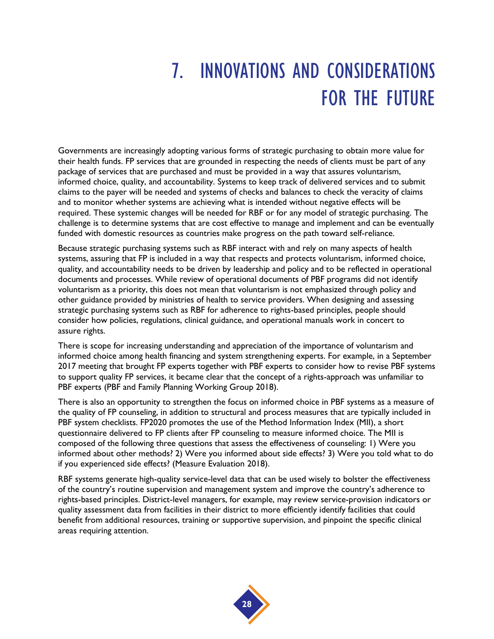## 7. INNOVATIONS AND CONSIDERATIONS FOR THE FUTURE

Governments are increasingly adopting various forms of strategic purchasing to obtain more value for their health funds. FP services that are grounded in respecting the needs of clients must be part of any package of services that are purchased and must be provided in a way that assures voluntarism, informed choice, quality, and accountability. Systems to keep track of delivered services and to submit claims to the payer will be needed and systems of checks and balances to check the veracity of claims and to monitor whether systems are achieving what is intended without negative effects will be required. These systemic changes will be needed for RBF or for any model of strategic purchasing. The challenge is to determine systems that are cost effective to manage and implement and can be eventually funded with domestic resources as countries make progress on the path toward self-reliance.

Because strategic purchasing systems such as RBF interact with and rely on many aspects of health systems, assuring that FP is included in a way that respects and protects voluntarism, informed choice, quality, and accountability needs to be driven by leadership and policy and to be reflected in operational documents and processes. While review of operational documents of PBF programs did not identify voluntarism as a priority, this does not mean that voluntarism is not emphasized through policy and other guidance provided by ministries of health to service providers. When designing and assessing strategic purchasing systems such as RBF for adherence to rights-based principles, people should consider how policies, regulations, clinical guidance, and operational manuals work in concert to assure rights.

There is scope for increasing understanding and appreciation of the importance of voluntarism and informed choice among health financing and system strengthening experts. For example, in a September 2017 meeting that brought FP experts together with PBF experts to consider how to revise PBF systems to support quality FP services, it became clear that the concept of a rights-approach was unfamiliar to PBF experts (PBF and Family Planning Working Group 2018).

There is also an opportunity to strengthen the focus on informed choice in PBF systems as a measure of the quality of FP counseling, in addition to structural and process measures that are typically included in PBF system checklists. FP2020 promotes the use of the Method Information Index (MII), a short questionnaire delivered to FP clients after FP counseling to measure informed choice. The MII is composed of the following three questions that assess the effectiveness of counseling: 1) Were you informed about other methods? 2) Were you informed about side effects? 3) Were you told what to do if you experienced side effects? (Measure Evaluation 2018).

RBF systems generate high-quality service-level data that can be used wisely to bolster the effectiveness of the country's routine supervision and management system and improve the country's adherence to rights-based principles. District-level managers, for example, may review service-provision indicators or quality assessment data from facilities in their district to more efficiently identify facilities that could benefit from additional resources, training or supportive supervision, and pinpoint the specific clinical areas requiring attention.

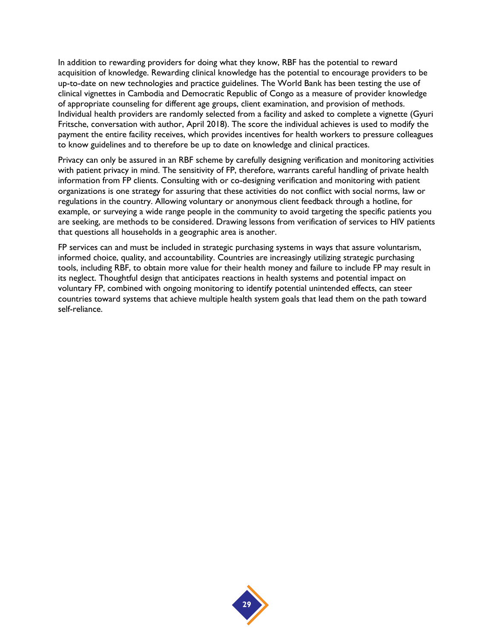In addition to rewarding providers for doing what they know, RBF has the potential to reward acquisition of knowledge. Rewarding clinical knowledge has the potential to encourage providers to be up-to-date on new technologies and practice guidelines. The World Bank has been testing the use of clinical vignettes in Cambodia and Democratic Republic of Congo as a measure of provider knowledge of appropriate counseling for different age groups, client examination, and provision of methods. Individual health providers are randomly selected from a facility and asked to complete a vignette (Gyuri Fritsche, conversation with author, April 2018). The score the individual achieves is used to modify the payment the entire facility receives, which provides incentives for health workers to pressure colleagues to know guidelines and to therefore be up to date on knowledge and clinical practices.

Privacy can only be assured in an RBF scheme by carefully designing verification and monitoring activities with patient privacy in mind. The sensitivity of FP, therefore, warrants careful handling of private health information from FP clients. Consulting with or co-designing verification and monitoring with patient organizations is one strategy for assuring that these activities do not conflict with social norms, law or regulations in the country. Allowing voluntary or anonymous client feedback through a hotline, for example, or surveying a wide range people in the community to avoid targeting the specific patients you are seeking, are methods to be considered. Drawing lessons from verification of services to HIV patients that questions all households in a geographic area is another.

FP services can and must be included in strategic purchasing systems in ways that assure voluntarism, informed choice, quality, and accountability. Countries are increasingly utilizing strategic purchasing tools, including RBF, to obtain more value for their health money and failure to include FP may result in its neglect. Thoughtful design that anticipates reactions in health systems and potential impact on voluntary FP, combined with ongoing monitoring to identify potential unintended effects, can steer countries toward systems that achieve multiple health system goals that lead them on the path toward self-reliance.

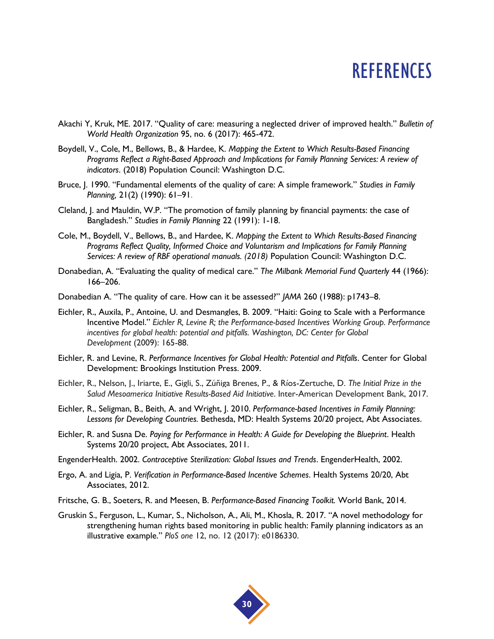## **REFERENCES**

- Akachi Y, Kruk, ME. 2017. "Quality of care: measuring a neglected driver of improved health." *Bulletin of World Health Organization* 95, no. 6 (2017): 465-472.
- Boydell, V., Cole, M., Bellows, B., & Hardee, K. *Mapping the Extent to Which Results-Based Financing Programs Reflect a Right-Based Approach and Implications for Family Planning Services: A review of indicators*. (2018) Population Council: Washington D.C.
- Bruce, J. 1990. "Fundamental elements of the quality of care: A simple framework." *Studies in Family Planning,* 21(2) (1990): 61–91.
- Cleland, J. and Mauldin, W.P. "The promotion of family planning by financial payments: the case of Bangladesh." *Studies in Family Planning* 22 (1991): 1-18.
- Cole, M., Boydell, V., Bellows, B., and Hardee, K. *Mapping the Extent to Which Results-Based Financing Programs Reflect Quality, Informed Choice and Voluntarism and Implications for Family Planning Services: A review of RBF operational manuals. (2018)* Population Council: Washington D.C.
- Donabedian, A. "Evaluating the quality of medical care." *The Milbank Memorial Fund Quarterly* 44 (1966): 166–206.
- Donabedian A. "The quality of care. How can it be assessed?" *JAMA* 260 (1988): p1743–8.
- Eichler, R., Auxila, P., Antoine, U. and Desmangles, B. 2009. "Haiti: Going to Scale with a Performance Incentive Model." *Eichler R, Levine R; the Performance-based Incentives Working Group. Performance incentives for global health: potential and pitfalls. Washington, DC: Center for Global Development* (2009): 165-88.
- Eichler, R. and Levine, R. *Performance Incentives for Global Health: Potential and Pitfalls*. Center for Global Development: Brookings Institution Press. 2009.
- Eichler, R., Nelson, J., Iriarte, E., Gigli, S., Zúñiga Brenes, P., & Ríos-Zertuche, D. *The Initial Prize in the Salud Mesoamerica Initiative Results-Based Aid Initiative*. Inter-American Development Bank, 2017.
- Eichler, R., Seligman, B., Beith, A. and Wright, J. 2010. *Performance-based Incentives in Family Planning: Lessons for Developing Countries.* Bethesda, MD: Health Systems 20/20 project, Abt Associates.
- Eichler, R. and Susna De. *Paying for Performance in Health: A Guide for Developing the Blueprint*. Health Systems 20/20 project, Abt Associates, 2011.
- EngenderHealth. 2002. *Contraceptive Sterilization: Global Issues and Trends*. EngenderHealth, 2002.
- Ergo, A. and Ligia, P. *Verification in Performance-Based Incentive Schemes*. Health Systems 20/20, Abt Associates, 2012.
- Fritsche, G. B., Soeters, R. and Meesen, B. *Performance-Based Financing Toolkit.* World Bank, 2014.
- Gruskin S., Ferguson, L., Kumar, S., Nicholson, A., Ali, M., Khosla, R. 2017. "A novel methodology for strengthening human rights based monitoring in public health: Family planning indicators as an illustrative example." *PloS one* 12, no. 12 (2017): e0186330.

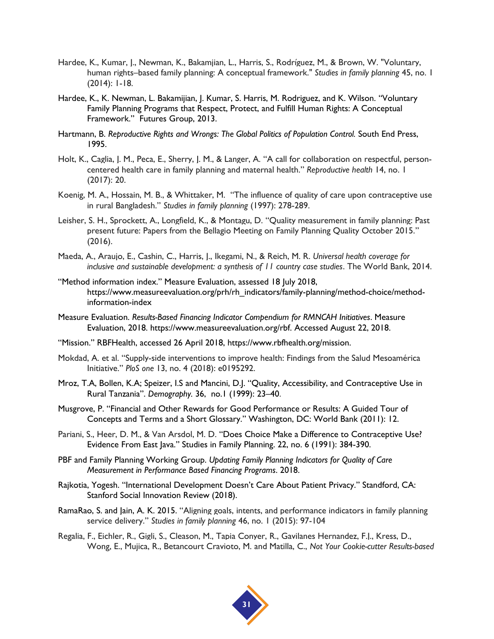- Hardee, K., Kumar, J., Newman, K., Bakamjian, L., Harris, S., Rodríguez, M., & Brown, W. "Voluntary, human rights–based family planning: A conceptual framework." *Studies in family planning* 45, no. 1 (2014): 1-18.
- Hardee, K., K. Newman, L. Bakamijian, J. Kumar, S. Harris, M. Rodriguez, and K. Wilson. "Voluntary Family Planning Programs that Respect, Protect, and Fulfill Human Rights: A Conceptual Framework." Futures Group, 2013.
- Hartmann, B. *Reproductive Rights and Wrongs: The Global Politics of Population Control. South End Press,* 1995.
- Holt, K., Caglia, J. M., Peca, E., Sherry, J. M., & Langer, A. "A call for collaboration on respectful, personcentered health care in family planning and maternal health." *Reproductive health* 14, no. 1 (2017): 20.
- Koenig, M. A., Hossain, M. B., & Whittaker, M. "The influence of quality of care upon contraceptive use in rural Bangladesh." *Studies in family planning* (1997): 278-289.
- Leisher, S. H., Sprockett, A., Longfield, K., & Montagu, D. "Quality measurement in family planning: Past present future: Papers from the Bellagio Meeting on Family Planning Quality October 2015." (2016).
- Maeda, A., Araujo, E., Cashin, C., Harris, J., Ikegami, N., & Reich, M. R. *Universal health coverage for inclusive and sustainable development: a synthesis of 11 country case studies*. The World Bank, 2014.
- "Method information index." Measure Evaluation, assessed 18 July 2018, https://www.measureevaluation.org/prh/rh\_indicators/family-planning/method-choice/methodinformation-index
- Measure Evaluation. *Results-Based Financing Indicator Compendium for RMNCAH Initiatives*. Measure Evaluation, 2018. https://www.measureevaluation.org/rbf. Accessed August 22, 2018.
- "Mission." RBFHealth, accessed 26 April 2018, https://www.rbfhealth.org/mission.
- Mokdad, A. et al. "Supply-side interventions to improve health: Findings from the Salud Mesoamérica Initiative." *PloS one* 13, no. 4 (2018): e0195292.
- Mroz, T.A, Bollen, K.A; Speizer, I.S and Mancini, D.J. "Quality, Accessibility, and Contraceptive Use in Rural Tanzania". *[Demography.](https://link.springer.com/journal/13524)* 36, no.1 (1999): 23–40.
- Musgrove, P. "Financial and Other Rewards for Good Performance or Results: A Guided Tour of Concepts and Terms and a Short Glossary." Washington, DC: World Bank (2011): 12.
- Pariani, S., Heer, D. M., & Van Arsdol, M. D. "Does Choice Make a Difference to Contraceptive Use? Evidence From East Java." Studies in Family Planning. 22, no. 6 (1991): 384-390.
- PBF and Family Planning Working Group. *Updating Family Planning Indicators for Quality of Care Measurement in Performance Based Financing Programs*. 2018.
- Rajkotia, Yogesh. "International Development Doesn't Care About Patient Privacy." Standford, CA: Stanford Social Innovation Review (2018).
- RamaRao, S. and Jain, A. K. 2015. "Aligning goals, intents, and performance indicators in family planning service delivery." *Studies in family planning* 46, no. 1 (2015): 97-104
- Regalia, F., Eichler, R., Gigli, S., Cleason, M., Tapia Conyer, R., Gavilanes Hernandez, F.J., Kress, D., Wong, E., Mujica, R., Betancourt Cravioto, M. and Matilla, C., *Not Your Cookie-cutter Results-based*

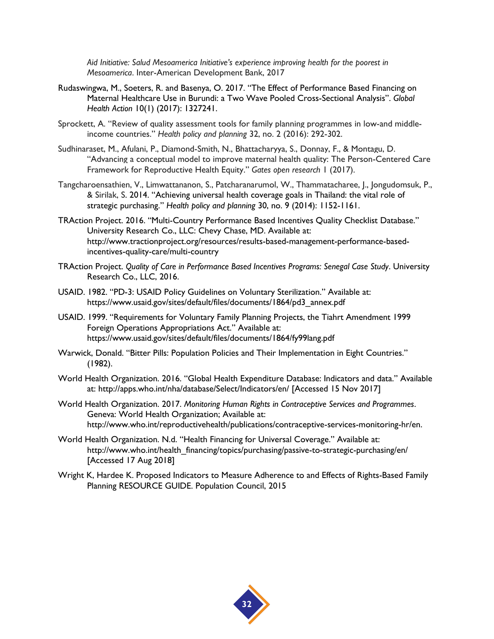*Aid Initiative: Salud Mesoamerica Initiative's experience improving health for the poorest in Mesoamerica*. Inter-American Development Bank, 2017

- Rudaswingwa, M., Soeters, R. and Basenya, O. 2017. "The Effect of Performance Based Financing on Maternal Healthcare Use in Burundi: a Two Wave Pooled Cross-Sectional Analysis". *Global Health Action* 10(1) (2017): 1327241.
- Sprockett, A. "Review of quality assessment tools for family planning programmes in low-and middleincome countries." *Health policy and planning* 32, no. 2 (2016): 292-302.
- Sudhinaraset, M., Afulani, P., Diamond-Smith, N., Bhattacharyya, S., Donnay, F., & Montagu, D. "Advancing a conceptual model to improve maternal health quality: The Person-Centered Care Framework for Reproductive Health Equity." *Gates open research* 1 (2017).
- Tangcharoensathien, V., Limwattananon, S., Patcharanarumol, W., Thammatacharee, J., Jongudomsuk, P., & Sirilak, S. 2014. "Achieving universal health coverage goals in Thailand: the vital role of strategic purchasing." *Health policy and planning* 30, no. 9 (2014): 1152-1161.
- TRAction Project. 2016. "Multi-Country Performance Based Incentives Quality Checklist Database." University Research Co., LLC: Chevy Chase, MD. Available at: http://www.tractionproject.org/resources/results-based-management-performance-basedincentives-quality-care/multi-country
- TRAction Project. *Quality of Care in Performance Based Incentives Programs: Senegal Case Study*. University Research Co., LLC, 2016.
- USAID. 1982. "PD-3: USAID Policy Guidelines on Voluntary Sterilization." Available at: https://www.usaid.gov/sites/default/files/documents/1864/pd3\_annex.pdf
- USAID. 1999. "Requirements for Voluntary Family Planning Projects, the Tiahrt Amendment 1999 Foreign Operations Appropriations Act." Available at: https://www.usaid.gov/sites/default/files/documents/1864/fy99lang.pdf
- Warwick, Donald. "Bitter Pills: Population Policies and Their Implementation in Eight Countries." (1982).
- World Health Organization. 2016. "Global Health Expenditure Database: Indicators and data." Available at: http://apps.who.int/nha/database/Select/Indicators/en/ [Accessed 15 Nov 2017]
- World Health Organization. 2017. *Monitoring Human Rights in Contraceptive Services and Programmes*. Geneva: World Health Organization; Available at: http://www.who.int/reproductivehealth/publications/contraceptive-services-monitoring-hr/en.
- World Health Organization. N.d. "Health Financing for Universal Coverage." Available at: http://www.who.int/health\_financing/topics/purchasing/passive-to-strategic-purchasing/en/ [Accessed 17 Aug 2018]
- Wright K, Hardee K. Proposed Indicators to Measure Adherence to and Effects of Rights-Based Family Planning RESOURCE GUIDE. Population Council, 2015